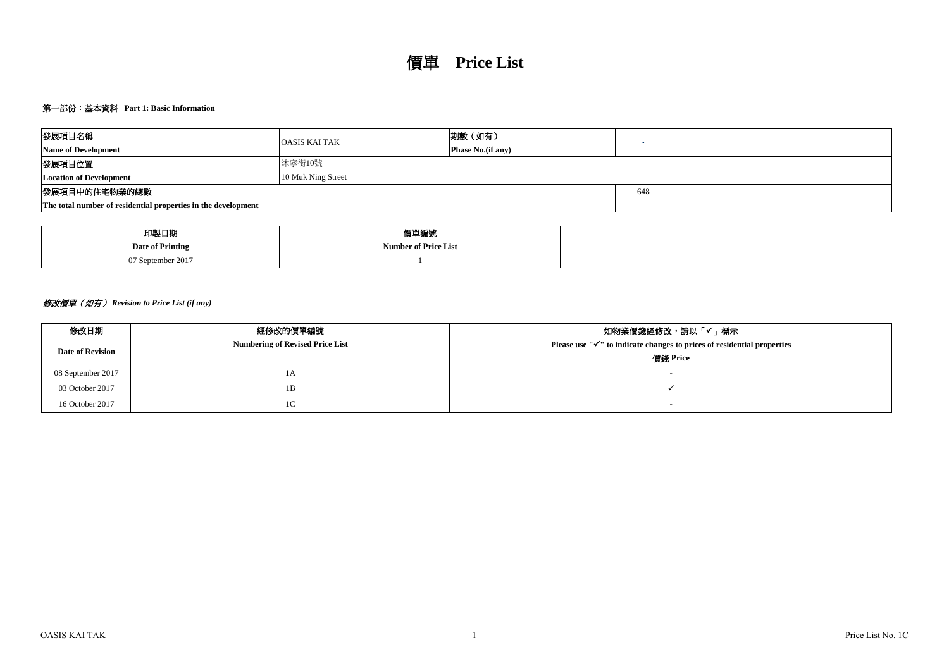# 第一部份:基本資料 **Part 1: Basic Information**

| 發展項目名稱                                                        | <b>OASIS KAI TAK</b> | 期數(如有)                   |  |
|---------------------------------------------------------------|----------------------|--------------------------|--|
| <b>Name of Development</b>                                    |                      | <b>Phase No.(if any)</b> |  |
| 發展項目位置<br>沐寧街10號                                              |                      |                          |  |
| <b>Location of Development</b><br>10 Muk Ning Street          |                      |                          |  |
| 發展項目中的住宅物業的總數                                                 |                      | 648                      |  |
| The total number of residential properties in the development |                      |                          |  |

| 印製日期              | 價單編號                        |
|-------------------|-----------------------------|
| Date of Printing  | <b>Number of Price List</b> |
| 07 September 2017 |                             |

# 修改價單(如有) *Revision to Price List (if any)*

| 修改日期                    | 經修改的價單編號                               | 如物業價錢經修改,請以「✔」標示                                                                    |
|-------------------------|----------------------------------------|-------------------------------------------------------------------------------------|
| <b>Date of Revision</b> | <b>Numbering of Revised Price List</b> | Please use " $\checkmark$ " to indicate changes to prices of residential properties |
|                         |                                        | 價錢 Price                                                                            |
| 08 September 2017       | 1А                                     |                                                                                     |
| 03 October 2017         | 1B                                     |                                                                                     |
| 16 October 2017         | 1C                                     |                                                                                     |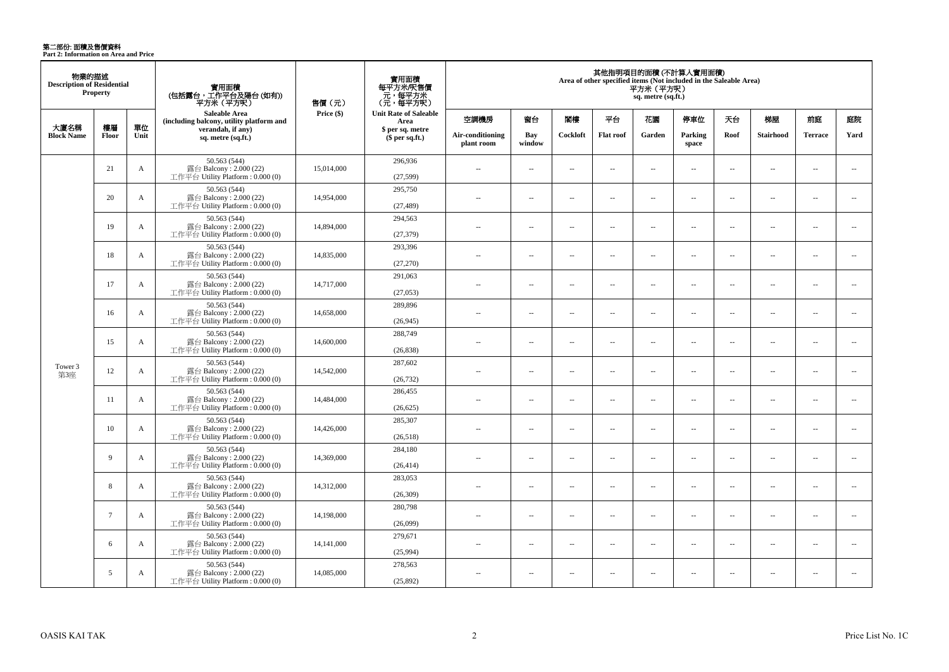**第二部份: 面積及售價資料**<br>Part 2: Information on Area and Price

| 物業的描述<br><b>Description of Residential</b> | Property        |              | 實用面積<br>(包括露台,工作平台及陽台 (如有))<br>平方米(平方呎)                                    | 售價 (元)     | 實用面積<br>每平方米/呎售價<br>- 元, 每平方米<br>(元, 每平方呎) |                                |                          |          |                          | 平方米(平方呎)<br>sq. metre (sq.ft.) | 其他指明項目的面積(不計算入實用面積)<br>Area of other specified items (Not included in the Saleable Area) |                          |                          |                          |                          |
|--------------------------------------------|-----------------|--------------|----------------------------------------------------------------------------|------------|--------------------------------------------|--------------------------------|--------------------------|----------|--------------------------|--------------------------------|------------------------------------------------------------------------------------------|--------------------------|--------------------------|--------------------------|--------------------------|
|                                            |                 |              | Saleable Area<br>(including balcony, utility platform and                  | Price (\$) | <b>Unit Rate of Saleable</b><br>Area       | 空調機房                           | 窗台                       | 閣樓       | 平台                       | 花園                             | 停車位                                                                                      | 天台                       | 梯屋                       | 前庭                       | 庭院                       |
| 大廈名稱<br><b>Block Name</b>                  | 樓層<br>Floor     | 單位<br>Unit   | verandah, if any)<br>sq. metre (sq.ft.)                                    |            | \$ per sq. metre<br>\$per sq.ft.)          | Air-conditioning<br>plant room | Bay<br>window            | Cockloft | <b>Flat roof</b>         | Garden                         | Parking<br>space                                                                         | Roof                     | <b>Stairhood</b>         | <b>Terrace</b>           | Yard                     |
|                                            | 21              | A            | 50.563 (544)<br>露台 Balcony: 2.000 (22)<br>工作平台 Utility Platform: 0.000 (0) | 15,014,000 | 296,936<br>(27,599)                        | $\sim$                         | $\sim$                   | $\sim$   | $\sim$                   | $\overline{a}$                 | $\overline{\phantom{a}}$                                                                 | $\overline{\phantom{a}}$ | $\sim$                   | μ.                       | $\overline{a}$           |
|                                            | 20              | $\mathbf A$  | 50.563 (544)<br>露台 Balcony: 2.000 (22)<br>工作平台 Utility Platform: 0.000 (0) | 14,954,000 | 295,750<br>(27, 489)                       | $\sim$                         | $\overline{a}$           | $\sim$   | $\sim$                   | $\overline{a}$                 | $\sim$                                                                                   | $\sim$                   | $\sim$                   | $\overline{a}$           | $\overline{a}$           |
|                                            | 19              | A            | 50.563 (544)<br>露台 Balcony: 2.000 (22)<br>工作平台 Utility Platform: 0.000 (0) | 14,894,000 | 294,563<br>(27, 379)                       | $\overline{a}$                 | $\sim$                   | $\sim$   | $\sim$                   | $\overline{a}$                 | $\sim$                                                                                   | $\overline{\phantom{a}}$ | ÷.                       | μ.                       | $\overline{a}$           |
|                                            | 18              | A            | 50.563 (544)<br>露台 Balcony: 2.000 (22)<br>工作平台 Utility Platform: 0.000 (0) | 14,835,000 | 293,396<br>(27,270)                        | $\sim$                         | $\sim$                   | $\sim$   | $\overline{\phantom{a}}$ | $\overline{\phantom{a}}$       | $\sim$                                                                                   | $\overline{\phantom{a}}$ | $\overline{\phantom{a}}$ | $\ldots$                 | $\overline{\phantom{a}}$ |
|                                            | 17              | A            | 50.563 (544)<br>露台 Balcony: 2.000 (22)<br>工作平台 Utility Platform: 0.000 (0) | 14,717,000 | 291,063<br>(27,053)                        | $\sim$                         | $\sim$                   | $\sim$   | $\sim$                   | $\sim$ $\sim$                  | $\sim$                                                                                   | $\sim$                   | $\sim$                   | $\sim$                   | $\overline{a}$           |
|                                            | 16              | A            | 50.563 (544)<br>露台 Balcony: 2.000 (22)<br>工作平台 Utility Platform: 0.000 (0) | 14,658,000 | 289,896<br>(26, 945)                       | $\sim$ $\sim$                  | $\overline{\phantom{a}}$ | $\sim$   | $\overline{\phantom{a}}$ | $\overline{\phantom{a}}$       | $\sim$                                                                                   | $\overline{\phantom{a}}$ | $\sim$                   | $\ldots$                 | $\overline{\phantom{a}}$ |
|                                            | 15              | A            | 50.563 (544)<br>露台 Balcony: 2.000 (22)<br>工作平台 Utility Platform: 0.000 (0) | 14,600,000 | 288,749<br>(26, 838)                       | $\sim$                         | $\sim$                   | $\sim$   | $\sim$                   | $\sim$                         | $\sim$                                                                                   | $\sim$                   | $\sim$                   | $\overline{a}$           | $\sim$                   |
| Tower 3<br>第3座                             | 12              | $\mathbf{A}$ | 50.563 (544)<br>露台 Balcony: 2.000 (22)<br>工作平台 Utility Platform: 0.000 (0) | 14,542,000 | 287,602<br>(26, 732)                       |                                | $\sim$                   | 44       | $\sim$                   | ш,                             | $\sim$                                                                                   | $\overline{\phantom{a}}$ | ÷.                       | μ.                       | $\overline{\phantom{a}}$ |
|                                            | -11             | A            | 50.563 (544)<br>露台 Balcony: 2.000 (22)<br>工作平台 Utility Platform: 0.000 (0) | 14,484,000 | 286,455<br>(26, 625)                       | $\overline{a}$                 | $\sim$                   | $\sim$   | $\sim$                   | $\sim$ $\sim$                  | $\sim$                                                                                   | $\sim$                   | $\sim$                   | $\overline{a}$           | $\overline{a}$           |
|                                            | 10              | A            | 50.563 (544)<br>露台 Balcony: 2.000 (22)<br>工作平台 Utility Platform: 0.000 (0) | 14,426,000 | 285,307<br>(26,518)                        | $\overline{a}$                 | $\overline{\phantom{a}}$ | $\sim$   | $\overline{\phantom{a}}$ | $\overline{\phantom{a}}$       | $\sim$                                                                                   | ÷.                       | $\overline{\phantom{a}}$ | $\overline{\phantom{a}}$ | $\overline{\phantom{a}}$ |
|                                            | 9               | A            | 50.563 (544)<br>露台 Balcony: 2.000 (22)<br>工作平台 Utility Platform: 0.000 (0) | 14,369,000 | 284,180<br>(26, 414)                       | $\overline{a}$                 | $\overline{a}$           | $\sim$   | $\sim$                   | $\overline{a}$                 | $\sim$                                                                                   | $\sim$                   | $\sim$                   | $\sim$                   | $\overline{a}$           |
|                                            | 8               | A            | 50.563 (544)<br>露台 Balcony: 2.000 (22)<br>工作平台 Utility Platform: 0.000 (0) | 14,312,000 | 283,053<br>(26,309)                        | $\overline{a}$                 | $\overline{\phantom{a}}$ | $\sim$   | $\sim$                   | $\sim$ $\sim$                  | $\sim$                                                                                   | $\sim$                   | $\sim$                   | $\overline{\phantom{a}}$ | $\sim$                   |
|                                            | $7\phantom{.0}$ | A            | 50.563 (544)<br>露台 Balcony: 2.000 (22)<br>工作平台 Utility Platform: 0.000 (0) | 14,198,000 | 280,798<br>(26,099)                        | $\sim$                         | $\sim$                   | $\sim$   | $\sim$                   | $\overline{a}$                 | $\sim$                                                                                   | $\sim$                   | $\sim$                   | $\overline{\phantom{a}}$ | $\overline{\phantom{a}}$ |
|                                            | 6               | $\mathbf A$  | 50.563 (544)<br>露台 Balcony: 2.000 (22)<br>工作平台 Utility Platform: 0.000 (0) | 14,141,000 | 279,671<br>(25,994)                        | $\overline{a}$                 | $\overline{\phantom{a}}$ | $\sim$   | $\sim$                   | $\sim$                         | $\sim$                                                                                   | $\overline{\phantom{a}}$ | $\sim$                   | $\overline{\phantom{a}}$ | $\overline{a}$           |
|                                            | 5               | A            | 50.563 (544)<br>露台 Balcony: 2.000 (22)<br>工作平台 Utility Platform: 0.000 (0) | 14,085,000 | 278,563<br>(25,892)                        | $\sim$                         | $\overline{\phantom{a}}$ | $\sim$   | $\sim$                   | $\overline{a}$                 | $\sim$                                                                                   | $\overline{\phantom{a}}$ | $\sim$                   | $\overline{a}$           |                          |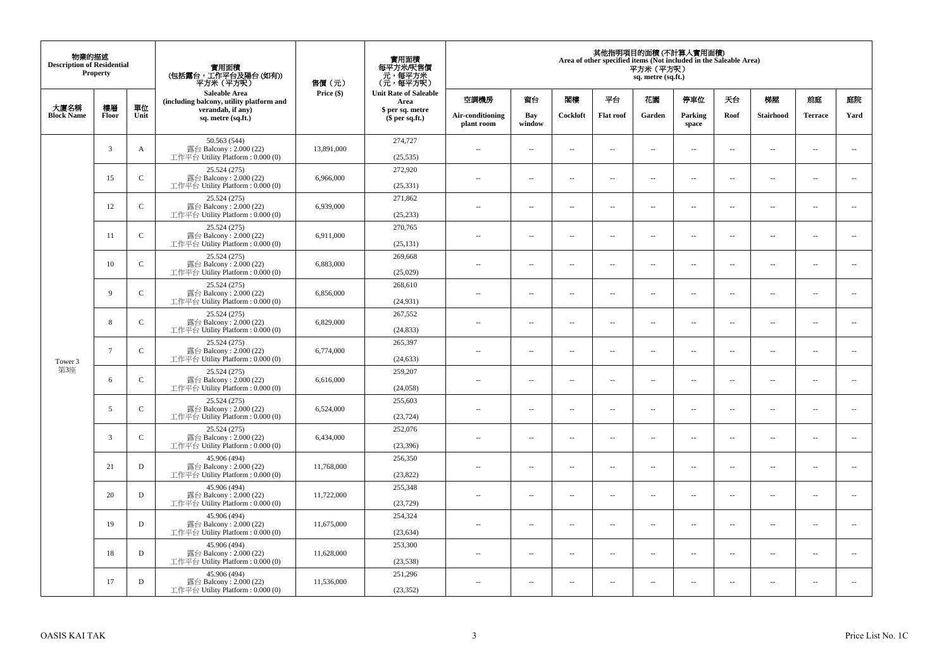| 物業的描述<br><b>Description of Residential</b> | Property       |              | 實用面積<br>(包括露台,工作平台及陽台(如有))<br>平方米(平方呎)                                      | 售價(元)      | 實用面積<br>每平方米/呎售價<br>- 元, 每平方米<br>(元, 每平方呎) |                                |                          |                          | Area of other specified items (Not included in the Saleable Area) | 平方米 (平方呎)<br>sq. metre (sq.ft.) | 其他指明項目的面積 (不計算入實用面積)     |                          |                          |                          |                             |
|--------------------------------------------|----------------|--------------|-----------------------------------------------------------------------------|------------|--------------------------------------------|--------------------------------|--------------------------|--------------------------|-------------------------------------------------------------------|---------------------------------|--------------------------|--------------------------|--------------------------|--------------------------|-----------------------------|
| 大廈名稱                                       | 樓層             | 單位           | Saleable Area<br>(including balcony, utility platform and                   | Price (\$) | <b>Unit Rate of Saleable</b><br>Area       | 空調機房                           | 窗台                       | 閨樓                       | 平台                                                                | 花園                              | 停車位                      | 天台                       | 梯屋                       | 前庭                       | 庭院                          |
| <b>Block Name</b>                          | Floor          | Unit         | verandah, if any)<br>sq. metre (sq.ft.)                                     |            | \$ per sq. metre<br>\$per sq.ft.)          | Air-conditioning<br>plant room | Bay<br>window            | Cockloft                 | <b>Flat roof</b>                                                  | Garden                          | Parking<br>space         | Roof                     | Stairhood                | <b>Terrace</b>           | Yard                        |
|                                            | $\overline{3}$ | A            | 50.563 (544)<br>露台 Balcony: 2.000 (22)<br>工作平台 Utility Platform: 0.000 (0)  | 13,891,000 | 274,727<br>(25, 535)                       | ÷.                             | $\overline{\phantom{a}}$ | $\sim$                   | μ.                                                                | $\overline{a}$                  | $\sim$                   | $\overline{\phantom{a}}$ | Ξ.                       | $\ddot{\phantom{a}}$     | $\overline{\phantom{a}}$    |
|                                            | 15             | $\mathbf C$  | 25.524 (275)<br>露台 Balcony: 2.000 (22)<br>工作平台 Utility Platform : 0.000 (0) | 6,966,000  | 272,920<br>(25, 331)                       | $\sim$                         | $\sim$                   | $\sim$                   | $\sim$                                                            | $\sim$                          | $\sim$                   | $\sim$                   | $\overline{a}$           | $\sim$                   | $\sim$                      |
|                                            | 12             | $\mathbf C$  | 25.524 (275)<br>露台 Balcony: 2.000 (22)<br>工作平台 Utility Platform : 0.000 (0) | 6,939,000  | 271,862<br>(25, 233)                       | $\overline{\phantom{a}}$       | $\overline{\phantom{a}}$ | $\sim$                   | μ.                                                                | $\overline{\phantom{a}}$        | $\overline{\phantom{a}}$ | $\overline{\phantom{a}}$ | $\overline{\phantom{a}}$ | $\overline{\phantom{a}}$ | $\overline{\phantom{a}}$    |
|                                            | 11             | $\mathsf{C}$ | 25.524 (275)<br>露台 Balcony: 2.000 (22)<br>工作平台 Utility Platform: 0.000 (0)  | 6,911,000  | 270,765<br>(25, 131)                       | $\sim$                         | $\overline{a}$           | $\sim$                   | $\sim$                                                            | $\sim$ $\sim$                   | $\sim$                   | $\sim$                   | $\overline{a}$           | $\sim$                   | $\sim$                      |
|                                            | 10             | $\mathbf C$  | 25.524 (275)<br>露台 Balcony: 2.000 (22)<br>工作平台 Utility Platform: 0.000 (0)  | 6,883,000  | 269,668<br>(25,029)                        |                                | --                       | $\ddotsc$                | --                                                                | $\overline{\phantom{a}}$        | $\overline{\phantom{a}}$ | $\overline{\phantom{a}}$ | --                       | $\ddotsc$                | $\overline{\phantom{a}}$    |
|                                            | 9              | $\mathsf{C}$ | 25.524 (275)<br>露台 Balcony: 2.000 (22)<br>工作平台 Utility Platform: 0.000 (0)  | 6,856,000  | 268,610<br>(24, 931)                       | $\sim$                         | $\sim$                   | $\sim$                   | $\sim$                                                            | $\sim$ $\sim$                   | $\overline{\phantom{a}}$ | $\overline{\phantom{a}}$ | $\sim$                   | $\overline{\phantom{a}}$ | $\overline{\phantom{a}}$    |
|                                            | 8              | $\mathbf C$  | 25.524 (275)<br>露台 Balcony: 2.000 (22)<br>工作平台 Utility Platform: 0.000 (0)  | 6,829,000  | 267,552<br>(24, 833)                       | ÷.                             | μ.                       | ÷.                       | μ.                                                                | ш,                              | $\sim$                   | $\overline{\phantom{a}}$ | Ξ.                       | $\ddot{\phantom{a}}$     | $\sim$                      |
| Tower 3                                    | $\overline{7}$ | $\mathsf{C}$ | 25.524 (275)<br>露台 Balcony: 2.000 (22)<br>工作平台 Utility Platform: 0.000 (0)  | 6,774,000  | 265,397<br>(24, 633)                       | $\overline{\phantom{a}}$       | $\sim$                   | $\sim$                   | $\sim$                                                            | $\sim$ $\sim$                   | $\sim$                   | $\overline{\phantom{a}}$ | $\sim$                   | $\sim$                   | $\mathcal{L}_{\mathcal{A}}$ |
| 第3座                                        | 6              | $\mathbf C$  | 25.524 (275)<br>露台 Balcony: 2.000 (22)<br>工作平台 Utility Platform: 0.000 (0)  | 6,616,000  | 259,207<br>(24,058)                        | 44                             | $\overline{\phantom{a}}$ | $\sim$                   | μ.                                                                | $\sim$                          | $\sim$                   | $\overline{\phantom{a}}$ | Ξ.                       | $\ddot{\phantom{a}}$     | $\overline{\phantom{a}}$    |
|                                            | 5              | $\mathbf C$  | 25.524 (275)<br>露台 Balcony: 2.000 (22)<br>工作平台 Utility Platform : 0.000 (0) | 6,524,000  | 255,603<br>(23, 724)                       | $\sim$                         | $\overline{a}$           | $\sim$                   | $\sim$                                                            | $\overline{a}$                  | $\sim$                   | $\sim$                   | $\overline{\phantom{a}}$ | $\sim$                   | $\sim$                      |
|                                            | 3              | $\mathbf C$  | 25.524 (275)<br>露台 Balcony: 2.000 (22)<br>工作平台 Utility Platform : 0.000 (0) | 6,434,000  | 252,076<br>(23, 396)                       | 44                             | $\overline{\phantom{a}}$ | $\overline{\phantom{a}}$ | --                                                                | $\overline{\phantom{a}}$        | $\overline{\phantom{a}}$ | $\overline{\phantom{a}}$ | $\overline{\phantom{a}}$ | $\overline{\phantom{a}}$ | $\overline{\phantom{a}}$    |
|                                            | 21             | D            | 45.906 (494)<br>露台 Balcony: 2.000 (22)<br>工作平台 Utility Platform : 0.000 (0) | 11,768,000 | 256,350<br>(23,822)                        | $\sim$                         | $\overline{\phantom{a}}$ | $\sim$                   | $\sim$                                                            | $\sim$                          | $\sim$                   | $\overline{\phantom{a}}$ | $\overline{a}$           | $\ddot{\phantom{a}}$     | $\sim$                      |
|                                            | 20             | D            | 45.906 (494)<br>露台 Balcony: 2.000 (22)<br>工作平台 Utility Platform: 0.000 (0)  | 11,722,000 | 255,348<br>(23, 729)                       | ÷.                             | $\overline{\phantom{a}}$ | $\sim$                   | μ.                                                                | $\overline{a}$                  | $\sim$                   | $\overline{\phantom{a}}$ | $\overline{\phantom{a}}$ | $\ddot{\phantom{a}}$     | $\sim$                      |
|                                            | 19             | $\mathbf D$  | 45.906 (494)<br>露台 Balcony: 2.000 (22)<br>工作平台 Utility Platform: 0.000 (0)  | 11,675,000 | 254,324<br>(23, 634)                       | $\sim$                         | $\overline{\phantom{a}}$ | $\sim$                   | $\overline{\phantom{a}}$                                          | $\overline{\phantom{a}}$        | $\overline{\phantom{a}}$ | $\sim$                   | $\overline{\phantom{a}}$ | $\overline{\phantom{a}}$ | $\overline{\phantom{a}}$    |
|                                            | 18             | $\mathbf D$  | 45.906 (494)<br>露台 Balcony: 2.000 (22)<br>工作平台 Utility Platform : 0.000 (0) | 11,628,000 | 253,300<br>(23, 538)                       | $\sim$                         | $\overline{\phantom{a}}$ | $\sim$                   | μ.                                                                | $\sim$                          | $\sim$                   | $\overline{\phantom{a}}$ | $\overline{\phantom{a}}$ | $\ddot{\phantom{a}}$     | $\sim$                      |
|                                            | 17             | $\mathbf D$  | 45.906 (494)<br>露台 Balcony: 2.000 (22)<br>工作平台 Utility Platform: 0.000 (0)  | 11,536,000 | 251,296<br>(23, 352)                       | $\overline{\phantom{a}}$       | $\sim$                   | $\sim$                   | $\sim$                                                            | $\sim$ $\sim$                   | $\sim$                   | $\sim$                   | $\sim$                   | $\sim$                   | $\sim$                      |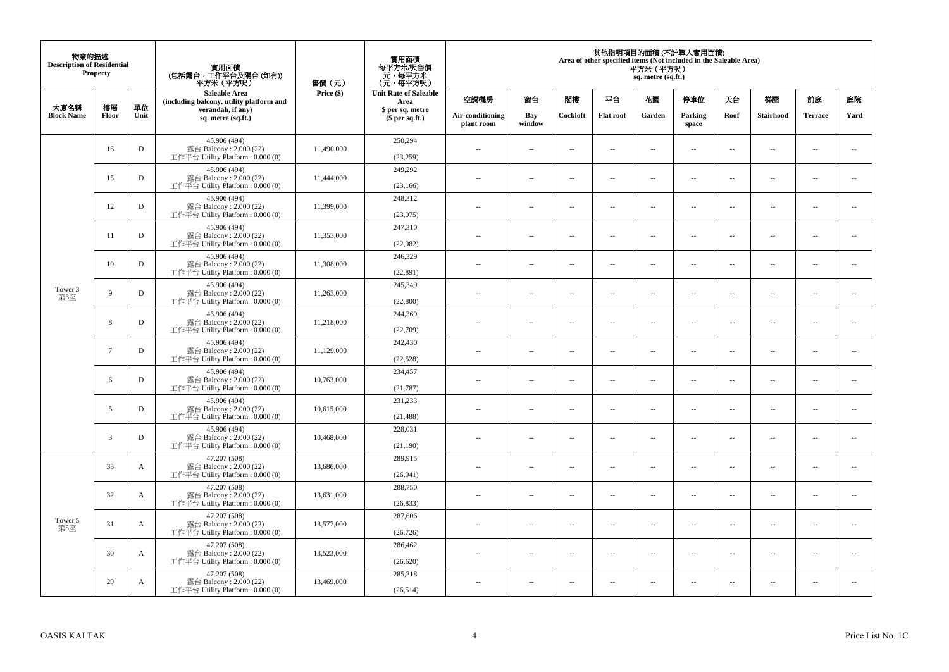| 物業的描述<br><b>Description of Residential</b> | <b>Property</b> |              | 實用面積<br>(包括露台,工作平台及陽台 (如有))<br>平方米 (平方呎)                                     | 售價(元)      | 實用面積<br>每平方米/呎售價<br>- 元, 每平方米<br>(元, 每平方呎) |                                |                          |                          |                          | 平方米(平方呎)<br>sq. metre (sq.ft.) | 其他指明項目的面積 (不計算入實用面積)<br>Area of other specified items (Not included in the Saleable Area) |                          |                          |                |                          |
|--------------------------------------------|-----------------|--------------|------------------------------------------------------------------------------|------------|--------------------------------------------|--------------------------------|--------------------------|--------------------------|--------------------------|--------------------------------|-------------------------------------------------------------------------------------------|--------------------------|--------------------------|----------------|--------------------------|
| 大廈名稱                                       | 樓層              | 單位           | <b>Saleable Area</b><br>(including balcony, utility platform and             | Price (\$) | <b>Unit Rate of Saleable</b><br>Area       | 空調機房                           | 窗台                       | 閣樓                       | 平台                       | 花園                             | 停車位                                                                                       | 天台                       | 梯屋                       | 前庭             | 庭院                       |
| <b>Block Name</b>                          | Floor           | Unit         | verandah, if any)<br>sq. metre (sq.ft.)                                      |            | \$ per sq. metre<br>$$$ per sq.ft.)        | Air-conditioning<br>plant room | Bay<br>window            | Cockloft                 | <b>Flat roof</b>         | Garden                         | Parking<br>space                                                                          | Roof                     | Stairhood                | <b>Terrace</b> | Yard                     |
|                                            | 16              | D            | 45.906 (494)<br>露台 Balcony: 2.000 (22)<br>工作平台 Utility Platform: 0.000 (0)   | 11,490,000 | 250,294<br>(23, 259)                       | $\sim$                         | $\overline{\phantom{a}}$ | $\ddotsc$                | $\sim$                   | μ.                             | $\sim$                                                                                    | $\overline{\phantom{a}}$ | $\overline{\phantom{a}}$ | $\sim$         | $\sim$                   |
|                                            | 15              | D            | 45.906 (494)<br>露台 Balcony: 2.000 (22)<br>工作平台 Utility Platform : $0.000(0)$ | 11,444,000 | 249,292<br>(23, 166)                       | $\sim$                         | $\sim$                   | ÷.                       | $\sim$                   | μ.                             | $\sim$                                                                                    | $\sim$                   | $\overline{\phantom{a}}$ | $\sim$         | $\sim$                   |
|                                            | 12              | D            | 45.906 (494)<br>露台 Balcony: 2.000 (22)<br>工作平台 Utility Platform : $0.000(0)$ | 11,399,000 | 248,312<br>(23,075)                        | $-$                            | ÷.                       | $\sim$                   | $\sim$                   | μ.                             | $\sim$                                                                                    | $\overline{\phantom{a}}$ | $\overline{\phantom{a}}$ | $\sim$         | $\overline{\phantom{a}}$ |
|                                            | 11              | D            | 45.906 (494)<br>露台 Balcony: 2.000 (22)<br>工作平台 Utility Platform: 0.000 (0)   | 11,353,000 | 247,310<br>(22,982)                        | $\sim$                         | $\overline{\phantom{a}}$ | $\sim$                   | $\sim$                   | $\sim$                         | $\sim$                                                                                    | $\sim$                   | $\sim$                   | $\sim$         | $\sim$                   |
|                                            | 10              | D            | 45.906 (494)<br>露台 Balcony: 2.000 (22)<br>工作平台 Utility Platform: 0.000 (0)   | 11,308,000 | 246,329<br>(22, 891)                       |                                | $\sim$                   | $\ddotsc$                | $\sim$                   | $\overline{\phantom{a}}$       | $\sim$                                                                                    | $\sim$                   | $\overline{\phantom{a}}$ | $\sim$         | $\sim$                   |
| Tower 3<br>第3座                             | 9               | D            | 45.906 (494)<br>露台 Balcony: 2.000 (22)<br>工作平台 Utility Platform: 0.000 (0)   | 11,263,000 | 245,349<br>(22,800)                        | $\sim$                         | $\sim$                   | $\sim$                   | $\sim$                   | $\overline{a}$                 | $\sim$                                                                                    | $\sim$                   | $\overline{a}$           | $\sim$         | $\sim$                   |
|                                            | 8               | D            | 45.906 (494)<br>露台 Balcony: 2.000 (22)<br>工作平台 Utility Platform : $0.000(0)$ | 11,218,000 | 244,369<br>(22,709)                        | $\sim$                         | $\overline{\phantom{a}}$ | $\overline{\phantom{a}}$ | $\sim$                   | ۰.                             | $\sim$                                                                                    | $\overline{\phantom{a}}$ | ۰.                       | $\sim$         | $\overline{\phantom{a}}$ |
|                                            | $7\overline{ }$ | D            | 45.906 (494)<br>露台 Balcony: 2.000 (22)<br>工作平台 Utility Platform: 0.000 (0)   | 11,129,000 | 242,430<br>(22,528)                        | $\sim$                         | $\sim$                   | $\sim$                   | $\sim$                   | $\overline{a}$                 | $\sim$                                                                                    | $\sim$                   | $\sim$                   | $\sim$         | $\sim$                   |
|                                            | 6               | D            | 45.906 (494)<br>露台 Balcony: 2.000 (22)<br>工作平台 Utility Platform: 0.000 (0)   | 10,763,000 | 234,457<br>(21, 787)                       | $\overline{a}$                 | $\sim$                   | $\sim$                   | $\sim$                   | μ.                             | $\sim$                                                                                    | $\overline{\phantom{a}}$ | $\overline{\phantom{a}}$ | $\sim$         | $\overline{\phantom{a}}$ |
|                                            | 5               | D            | 45.906 (494)<br>露台 Balcony: 2.000 (22)<br>工作平台 Utility Platform: 0.000 (0)   | 10,615,000 | 231,233<br>(21, 488)                       | $\overline{a}$                 | $\sim$                   | ÷.                       | $\sim$                   | μ.                             | $\sim$                                                                                    | $\sim$                   | $\overline{\phantom{a}}$ | $\sim$         | $\sim$                   |
|                                            | 3               | D            | 45.906 (494)<br>露台 Balcony: 2.000 (22)<br>工作平台 Utility Platform: 0.000 (0)   | 10,468,000 | 228,031<br>(21,190)                        | $-$                            | ÷.                       | $\sim$                   | $\sim$                   | $\overline{a}$                 | $\sim$                                                                                    | $\overline{\phantom{a}}$ | $\overline{\phantom{a}}$ | $\sim$         | $\sim$                   |
|                                            | 33              | $\mathbf{A}$ | 47.207 (508)<br>露台 Balcony: 2.000 (22)<br>工作平台 Utility Platform: 0.000 (0)   | 13,686,000 | 289,915<br>(26,941)                        | $\sim$                         | $\sim$                   | $\sim$                   | $\sim$                   | $\overline{a}$                 | $\sim$                                                                                    | $\sim$                   | $\sim$                   | $\sim$         | $\sim$                   |
|                                            | 32              | A            | 47.207 (508)<br>露台 Balcony: 2.000 (22)<br>工作平台 Utility Platform : 0.000 (0)  | 13,631,000 | 288,750<br>(26, 833)                       | $\overline{a}$                 | $\sim$                   | $\overline{\phantom{a}}$ | $\sim$                   | μ.                             | $\sim$                                                                                    | $\sim$                   | $\overline{\phantom{a}}$ | $\sim$         | $\sim$                   |
| Tower 5<br>第5座                             | 31              | $\mathbf{A}$ | 47.207 (508)<br>露台 Balcony: 2.000 (22)<br>工作平台 Utility Platform : $0.000(0)$ | 13,577,000 | 287,606<br>(26, 726)                       | $\overline{a}$                 | $\overline{\phantom{a}}$ | $\sim$                   | $\sim$                   | $\overline{a}$                 | $\sim$                                                                                    | $\sim$                   | $\overline{\phantom{a}}$ | $\sim$         | $\sim$                   |
|                                            | 30              | A            | 47.207 (508)<br>露台 Balcony: 2.000 (22)<br>工作平台 Utility Platform : $0.000(0)$ | 13.523,000 | 286,462<br>(26, 620)                       | $-$                            | $\sim$                   | $\sim$                   | $\sim$                   | ۰.                             | $\sim$                                                                                    | $\overline{\phantom{a}}$ | $\overline{\phantom{a}}$ | $\sim$         | $\sim$                   |
|                                            | 29              | A            | 47.207 (508)<br>露台 Balcony: 2.000 (22)<br>工作平台 Utility Platform: 0.000 (0)   | 13,469,000 | 285,318<br>(26, 514)                       | ٠.                             | $\overline{\phantom{a}}$ | $\ddotsc$                | $\overline{\phantom{a}}$ | $\overline{\phantom{a}}$       | $\sim$                                                                                    | $\overline{\phantom{a}}$ | $\overline{\phantom{a}}$ | $\sim$         | $\sim$                   |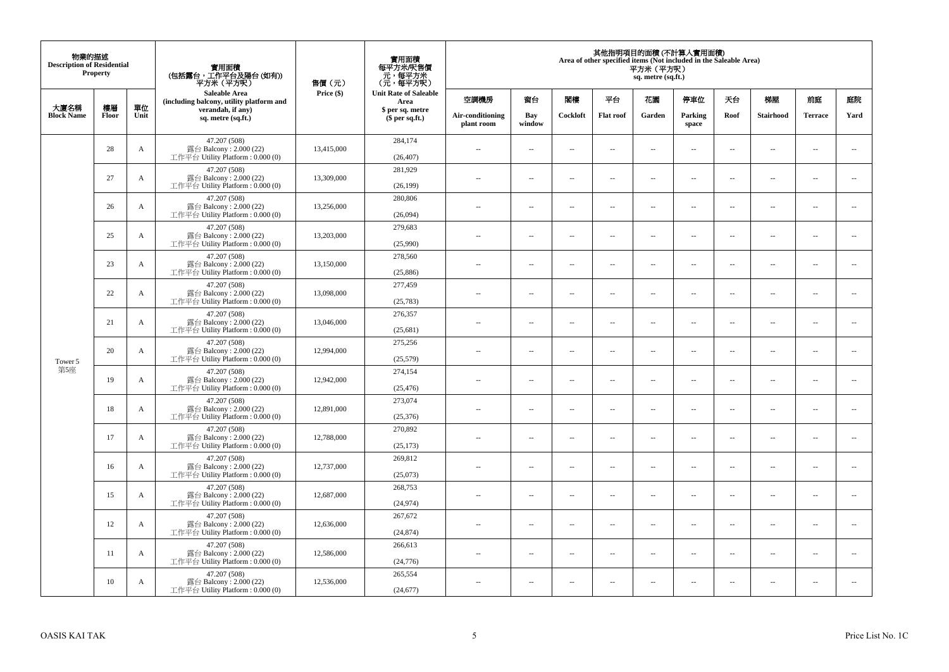| 物業的描述<br><b>Description of Residential</b> | Property |      | 實用面積<br>(包括露台,工作平台及陽台(如有))<br>平方米(平方呎)                                      | 售價(元)      | 實用面積<br>每平方米/呎售價<br>- 元, 每平方米<br>(元, 每平方呎) |                                |                          |                          | Area of other specified items (Not included in the Saleable Area) | 平方米 (平方呎)<br>sq. metre (sq.ft.) | 其他指明項目的面積 (不計算入實用面積)     |                          |                          |                          |                          |
|--------------------------------------------|----------|------|-----------------------------------------------------------------------------|------------|--------------------------------------------|--------------------------------|--------------------------|--------------------------|-------------------------------------------------------------------|---------------------------------|--------------------------|--------------------------|--------------------------|--------------------------|--------------------------|
| 大廈名稱                                       | 樓層       | 單位   | <b>Saleable Area</b><br>(including balcony, utility platform and            | Price (\$) | <b>Unit Rate of Saleable</b><br>Area       | 空調機房                           | 窗台                       | 閨樓                       | 平台                                                                | 花園                              | 停車位                      | 天台                       | 梯屋                       | 前庭                       | 庭院                       |
| <b>Block Name</b>                          | Floor    | Unit | verandah, if any)<br>sq. metre (sq.ft.)                                     |            | \$ per sq. metre<br>\$per sq.ft.)          | Air-conditioning<br>plant room | Bay<br>window            | Cockloft                 | <b>Flat roof</b>                                                  | Garden                          | Parking<br>space         | Roof                     | Stairhood                | <b>Terrace</b>           | Yard                     |
|                                            | 28       | A    | 47.207 (508)<br>露台 Balcony: 2.000 (22)<br>工作平台 Utility Platform: 0.000 (0)  | 13,415,000 | 284,174<br>(26, 407)                       | ÷.                             | $\overline{\phantom{a}}$ | $\sim$                   | μ.                                                                | $\overline{a}$                  | $\sim$                   | $\overline{\phantom{a}}$ | Ξ.                       | $\ddot{\phantom{a}}$     | $\overline{\phantom{a}}$ |
|                                            | 27       | A    | 47.207 (508)<br>露台 Balcony: 2.000 (22)<br>工作平台 Utility Platform : 0.000 (0) | 13,309,000 | 281,929<br>(26, 199)                       | $\sim$                         | $\sim$                   | $\sim$                   | $\sim$                                                            | $\sim$                          | $\sim$                   | $\sim$                   | $\overline{a}$           | $\sim$                   | $\sim$                   |
|                                            | 26       | А    | 47.207 (508)<br>露台 Balcony: 2.000 (22)<br>工作平台 Utility Platform : 0.000 (0) | 13,256,000 | 280,806<br>(26,094)                        | $\overline{\phantom{a}}$       | $\overline{\phantom{a}}$ | $\sim$                   | μ.                                                                | $\overline{\phantom{a}}$        | $\overline{\phantom{a}}$ | $\overline{\phantom{a}}$ | $\overline{\phantom{a}}$ | $\overline{\phantom{a}}$ | $\overline{\phantom{a}}$ |
|                                            | 25       | A    | 47.207 (508)<br>露台 Balcony: 2.000 (22)<br>工作平台 Utility Platform: 0.000 (0)  | 13,203,000 | 279,683<br>(25,990)                        | $\sim$                         | $\overline{a}$           | $\sim$                   | $\sim$                                                            | $\sim$ $\sim$                   | $\sim$                   | $\sim$                   | $\overline{a}$           | $\sim$                   | $\sim$                   |
|                                            | 23       | A    | 47.207 (508)<br>露台 Balcony: 2.000 (22)<br>工作平台 Utility Platform: 0.000 (0)  | 13,150,000 | 278,560<br>(25, 886)                       |                                | --                       | $\ddotsc$                | --                                                                | $\overline{\phantom{a}}$        | $\overline{\phantom{a}}$ | $\overline{\phantom{a}}$ | --                       | $\ddotsc$                | $\overline{\phantom{a}}$ |
| Tower 5                                    | 22       | A    | 47.207 (508)<br>露台 Balcony: 2.000 (22)<br>工作平台 Utility Platform: 0.000 (0)  | 13,098,000 | 277,459<br>(25, 783)                       | $\sim$                         | $\sim$                   | $\sim$                   | $\sim$                                                            | $\sim$ $\sim$                   | $\overline{\phantom{a}}$ | $\sim$                   | $\sim$                   | $\overline{\phantom{a}}$ | $\overline{\phantom{a}}$ |
|                                            | 21       | A    | 47.207 (508)<br>露台 Balcony: 2.000 (22)<br>工作平台 Utility Platform: 0.000 (0)  | 13,046,000 | 276,357<br>(25, 681)                       | ÷.                             | μ.                       | ÷.                       | μ.                                                                | $\sim$                          | $\sim$                   | $\overline{\phantom{a}}$ | Ξ.                       | $\ddot{\phantom{a}}$     | $\sim$                   |
|                                            | 20       | A    | 47.207 (508)<br>露台 Balcony: 2.000 (22)<br>工作平台 Utility Platform: 0.000 (0)  | 12,994,000 | 275,256<br>(25,579)                        | $\overline{\phantom{a}}$       | $\sim$                   | $\sim$                   | $\sim$                                                            | $\sim$ $\sim$                   | $\sim$                   | $\overline{\phantom{a}}$ | $\sim$                   | $\sim$                   | $\mathbf{u}$             |
| 第5座                                        | 19       | A    | 47.207 (508)<br>露台 Balcony: 2.000 (22)<br>工作平台 Utility Platform: 0.000 (0)  | 12,942,000 | 274,154<br>(25, 476)                       | 44                             | $\overline{\phantom{a}}$ | $\sim$                   | μ.                                                                | $\sim$                          | $\sim$                   | $\overline{\phantom{a}}$ | Ξ.                       | $\ddot{\phantom{a}}$     | $\overline{\phantom{a}}$ |
|                                            | 18       | A    | 47.207 (508)<br>露台 Balcony: 2.000 (22)<br>工作平台 Utility Platform : 0.000 (0) | 12,891,000 | 273,074<br>(25, 376)                       | $\sim$                         | $\overline{a}$           | $\sim$                   | $\sim$                                                            | $\overline{a}$                  | $\sim$                   | $\sim$                   | $\overline{a}$           | $\sim$                   | $\sim$                   |
|                                            | 17       | A    | 47.207 (508)<br>露台 Balcony: 2.000 (22)<br>工作平台 Utility Platform : 0.000 (0) | 12,788,000 | 270,892<br>(25, 173)                       | 44                             | $\overline{\phantom{a}}$ | $\overline{\phantom{a}}$ | --                                                                | $\overline{\phantom{a}}$        | $\overline{\phantom{a}}$ | $\overline{\phantom{a}}$ | $\overline{\phantom{a}}$ | $\overline{\phantom{a}}$ | $\overline{\phantom{a}}$ |
|                                            | 16       | A    | 47.207 (508)<br>露台 Balcony: 2.000 (22)<br>工作平台 Utility Platform : 0.000 (0) | 12,737,000 | 269,812<br>(25,073)                        | $\sim$                         | $\overline{\phantom{a}}$ | $\sim$                   | $\sim$                                                            | $\sim$                          | $\sim$                   | $\overline{\phantom{a}}$ | $\overline{a}$           | $\ddot{\phantom{a}}$     | $\sim$                   |
|                                            | 15       | A    | 47.207 (508)<br>露台 Balcony: 2.000 (22)<br>工作平台 Utility Platform: 0.000 (0)  | 12,687,000 | 268,753<br>(24, 974)                       | ÷.                             | $\overline{\phantom{a}}$ | $\sim$                   | μ.                                                                | $\overline{a}$                  | $\sim$                   | $\overline{\phantom{a}}$ | $\overline{\phantom{a}}$ | $\ddot{\phantom{a}}$     | $\sim$                   |
|                                            | 12       | A    | 47.207 (508)<br>露台 Balcony: 2.000 (22)<br>工作平台 Utility Platform: 0.000 (0)  | 12,636,000 | 267,672<br>(24, 874)                       | $\sim$                         | $\overline{\phantom{a}}$ | $\sim$                   | $\overline{\phantom{a}}$                                          | $\overline{\phantom{a}}$        | $\overline{\phantom{a}}$ | $\sim$                   | $\overline{\phantom{a}}$ | $\overline{\phantom{a}}$ | $\overline{\phantom{a}}$ |
|                                            | 11       | А    | 47.207 (508)<br>露台 Balcony: 2.000 (22)<br>工作平台 Utility Platform : 0.000 (0) | 12,586,000 | 266,613<br>(24, 776)                       | $\sim$                         | $\overline{\phantom{a}}$ | $\sim$                   | μ.                                                                | $\sim$                          | $\sim$                   | $\overline{\phantom{a}}$ | $\overline{\phantom{a}}$ | $\ddot{\phantom{a}}$     | $\sim$                   |
|                                            | 10       | A    | 47.207 (508)<br>露台 Balcony: 2.000 (22)<br>工作平台 Utility Platform: 0.000 (0)  | 12,536,000 | 265,554<br>(24, 677)                       | $\overline{\phantom{a}}$       | $\sim$                   | $\sim$                   | $\sim$                                                            | $\sim$ $\sim$                   | $\sim$                   | $\sim$                   | $\sim$                   | $\sim$                   | $\sim$                   |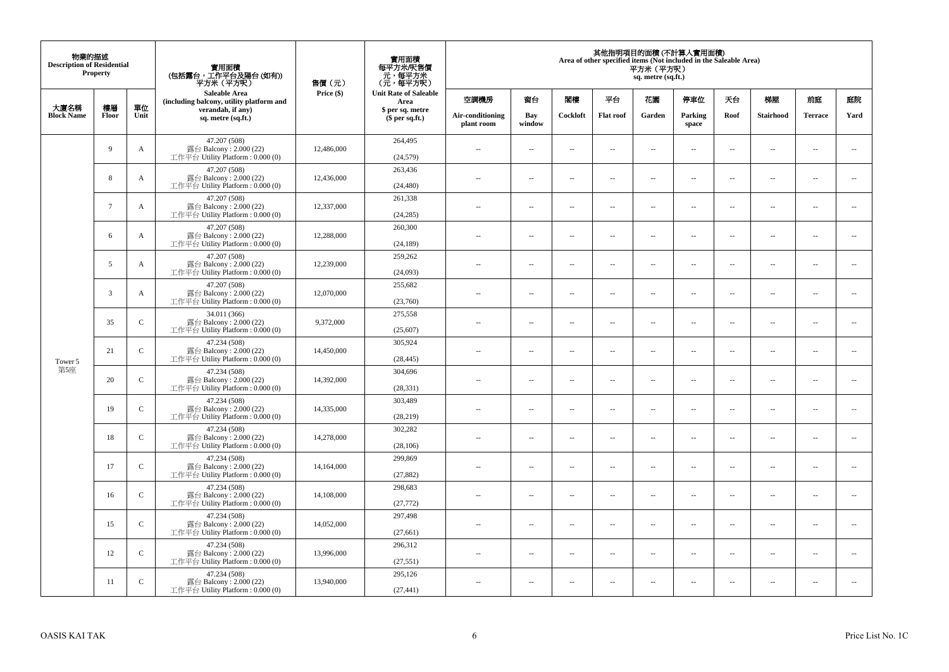| 物業的描述<br><b>Description of Residential</b> | <b>Property</b> |               | 實用面積<br>(包括露台,工作平台及陽台(如有))<br>平方米(平方呎)                                      | 售價(元)      | 實用面積<br>每平方米/呎售價<br>- 元, 每平方米<br>(元, 每平方呎) |                                |                          |                          | Area of other specified items (Not included in the Saleable Area) | 平方米 (平方呎)<br>sq. metre (sq.ft.) | 其他指明項目的面積 (不計算入實用面積)     |                          |                          |                          |                          |
|--------------------------------------------|-----------------|---------------|-----------------------------------------------------------------------------|------------|--------------------------------------------|--------------------------------|--------------------------|--------------------------|-------------------------------------------------------------------|---------------------------------|--------------------------|--------------------------|--------------------------|--------------------------|--------------------------|
| 大廈名稱                                       | 樓層              | 單位            | <b>Saleable Area</b><br>(including balcony, utility platform and            | Price (\$) | <b>Unit Rate of Saleable</b><br>Area       | 空調機房                           | 窗台                       | 閣樓                       | 平台                                                                | 花園                              | 停車位                      | 天台                       | 梯屋                       | 前庭                       | 庭院                       |
| <b>Block Name</b>                          | Floor           | Unit          | verandah, if any)<br>sq. metre (sq.ft.)                                     |            | \$ per sq. metre<br>\$per sq.ft.)          | Air-conditioning<br>plant room | Bay<br>window            | Cockloft                 | <b>Flat</b> roof                                                  | Garden                          | Parking<br>space         | Roof                     | Stairhood                | <b>Terrace</b>           | Yard                     |
|                                            | 9               | A             | 47.207 (508)<br>露台 Balcony: 2.000 (22)<br>工作平台 Utility Platform: 0.000 (0)  | 12,486,000 | 264,495<br>(24, 579)                       | $\ddot{\phantom{a}}$           | $\overline{\phantom{a}}$ | $\sim$                   | μ.                                                                | $\sim$                          | $\sim$                   | $\overline{\phantom{a}}$ | Ξ.                       | $\ddot{\phantom{a}}$     | $\sim$                   |
|                                            | 8               | A             | 47.207 (508)<br>露台 Balcony: 2.000 (22)<br>工作平台 Utility Platform: 0.000 (0)  | 12,436,000 | 263,436<br>(24, 480)                       | $\sim$                         | $\overline{a}$           | $\sim$                   | $\sim$                                                            | $\sim$                          | $\sim$                   | $\sim$                   | $\sim$                   | $\sim$                   | $\mathbf{u}$             |
|                                            | $7\phantom{.0}$ | A             | 47.207 (508)<br>露台 Balcony: 2.000 (22)<br>工作平台 Utility Platform : 0.000 (0) | 12,337,000 | 261,338<br>(24, 285)                       | $\sim$                         | $\overline{\phantom{a}}$ | $\overline{\phantom{a}}$ | --                                                                | $\overline{\phantom{a}}$        | $\overline{\phantom{a}}$ | $\overline{\phantom{a}}$ | $\overline{\phantom{a}}$ | $\overline{\phantom{a}}$ | $\overline{\phantom{a}}$ |
|                                            | 6               | A             | 47.207 (508)<br>露台 Balcony: 2.000 (22)<br>工作平台 Utility Platform: 0.000 (0)  | 12,288,000 | 260,300<br>(24, 189)                       | $\sim$                         | $\overline{\phantom{a}}$ | $\sim$                   | $\sim$                                                            | $\overline{\phantom{a}}$        | $\sim$                   | $\sim$                   | $\sim$                   | $\overline{\phantom{a}}$ | $\sim$                   |
|                                            | 5               | A             | 47.207 (508)<br>露台 Balcony: 2.000 (22)<br>工作平台 Utility Platform: 0.000 (0)  | 12,239,000 | 259,262<br>(24,093)                        |                                | μ.                       | ÷.                       | μ.                                                                | $\sim$                          | $\sim$                   | $\sim$                   | Ξ.                       | $\ddot{\phantom{a}}$     | $\sim$                   |
| Tower 5                                    | 3               | A             | 47.207 (508)<br>露台 Balcony: 2.000 (22)<br>工作平台 Utility Platform: 0.000 (0)  | 12,070,000 | 255,682<br>(23,760)                        | ×.                             | $\sim$                   | $\sim$                   | $\sim$                                                            | $\sim$                          | $\sim$                   | $\sim$                   | $\overline{a}$           | $\sim$                   | $\sim$                   |
|                                            | 35              | $\mathbf C$   | 34.011 (366)<br>露台 Balcony: 2.000 (22)<br>工作平台 Utility Platform: 0.000 (0)  | 9,372,000  | 275,558<br>(25, 607)                       | $\sim$                         | $\overline{\phantom{a}}$ | $\sim$                   | $\overline{\phantom{a}}$                                          | $\overline{\phantom{a}}$        | $\overline{\phantom{a}}$ | $\overline{\phantom{a}}$ | $\overline{\phantom{a}}$ | $\overline{\phantom{a}}$ | $\overline{\phantom{a}}$ |
|                                            | 21              | $\mathsf{C}$  | 47.234 (508)<br>露台 Balcony: 2.000 (22)<br>工作平台 Utility Platform: 0.000 (0)  | 14,450,000 | 305.924<br>(28, 445)                       | $\sim$                         | $\overline{a}$           | $\sim$                   | $\sim$                                                            | $\overline{a}$                  | $\sim$                   | $\overline{\phantom{a}}$ | $\overline{\phantom{a}}$ | $\sim$                   | $\sim$                   |
| 第5座                                        | 20              | $\mathbf C$   | 47.234 (508)<br>露台 Balcony: 2.000 (22)<br>工作平台 Utility Platform: 0.000 (0)  | 14,392,000 | 304,696<br>(28, 331)                       | $\overline{\phantom{a}}$       | $\sim$                   | $\sim$                   | $\sim$                                                            | $\sim$                          | $\sim$                   | $\overline{\phantom{a}}$ | $\overline{a}$           | $\sim$                   | $\ddot{\phantom{a}}$     |
|                                            | 19              | $\mathbf C$   | 47.234 (508)<br>露台 Balcony: 2.000 (22)<br>工作平台 Utility Platform : 0.000 (0) | 14,335,000 | 303,489<br>(28, 219)                       | $\sim$                         | $\sim$                   | $\sim$                   | $\sim$                                                            | $\sim$ $\sim$                   | $\overline{\phantom{a}}$ | $\sim$                   | $\sim$                   | $\overline{\phantom{a}}$ | $\overline{\phantom{a}}$ |
|                                            | 18              | $\mathbf C$   | 47.234 (508)<br>露台 Balcony: 2.000 (22)<br>工作平台 Utility Platform : 0.000 (0) | 14,278,000 | 302,282<br>(28, 106)                       |                                | $\overline{\phantom{a}}$ | $\sim$                   | μ.                                                                | $\sim$                          | $\sim$                   | $\overline{\phantom{a}}$ | Ξ.                       | $\ddot{\phantom{a}}$     | $\sim$                   |
|                                            | 17              | $\mathcal{C}$ | 47.234 (508)<br>露台 Balcony: 2.000 (22)<br>工作平台 Utility Platform : 0.000 (0) | 14,164,000 | 299,869<br>(27, 882)                       | $\sim$                         | $\overline{a}$           | $\sim$                   | $\sim$                                                            | $\overline{a}$                  | $\sim$                   | $\overline{\phantom{a}}$ | $\overline{\phantom{a}}$ | $\sim$                   | $\sim$                   |
|                                            | 16              | $\mathbf C$   | 47.234 (508)<br>露台 Balcony: 2.000 (22)<br>工作平台 Utility Platform : 0.000 (0) | 14,108,000 | 298,683<br>(27, 772)                       | 44                             | $\overline{\phantom{a}}$ | $\sim$                   | μ.                                                                | $\overline{\phantom{a}}$        | $\sim$                   | $\overline{\phantom{a}}$ | Ξ.                       | $\ddot{\phantom{a}}$     | $\sim$                   |
|                                            | 15              | $\mathsf{C}$  | 47.234 (508)<br>露台 Balcony: 2.000 (22)<br>工作平台 Utility Platform : 0.000 (0) | 14,052,000 | 297,498<br>(27, 661)                       | $\sim$                         | $\sim$                   | $\sim$                   | $\sim$                                                            | $\sim$ $\sim$                   | $\sim$                   | $\sim$                   | $\sim$                   | $\sim$                   | $\sim$                   |
|                                            | 12              | $\mathcal{C}$ | 47.234 (508)<br>露台 Balcony: 2.000 (22)<br>工作平台 Utility Platform: 0.000 (0)  | 13,996,000 | 296,312<br>(27, 551)                       | $\sim$                         | $\overline{\phantom{a}}$ | $\sim$                   | μ.                                                                | $\overline{\phantom{a}}$        | $\sim$                   | $\overline{\phantom{a}}$ | $\overline{\phantom{a}}$ | $\sim$                   | $\sim$                   |
|                                            | 11              | $\mathsf{C}$  | 47.234 (508)<br>露台 Balcony: 2.000 (22)<br>工作平台 Utility Platform: 0.000 (0)  | 13,940,000 | 295,126<br>(27, 441)                       | $\sim$                         | $\sim$                   | $\sim$                   | $\sim$                                                            | $\sim$ $\sim$                   | $\sim$                   | $\overline{\phantom{a}}$ | $\sim$                   | $\sim$                   | $\sim$                   |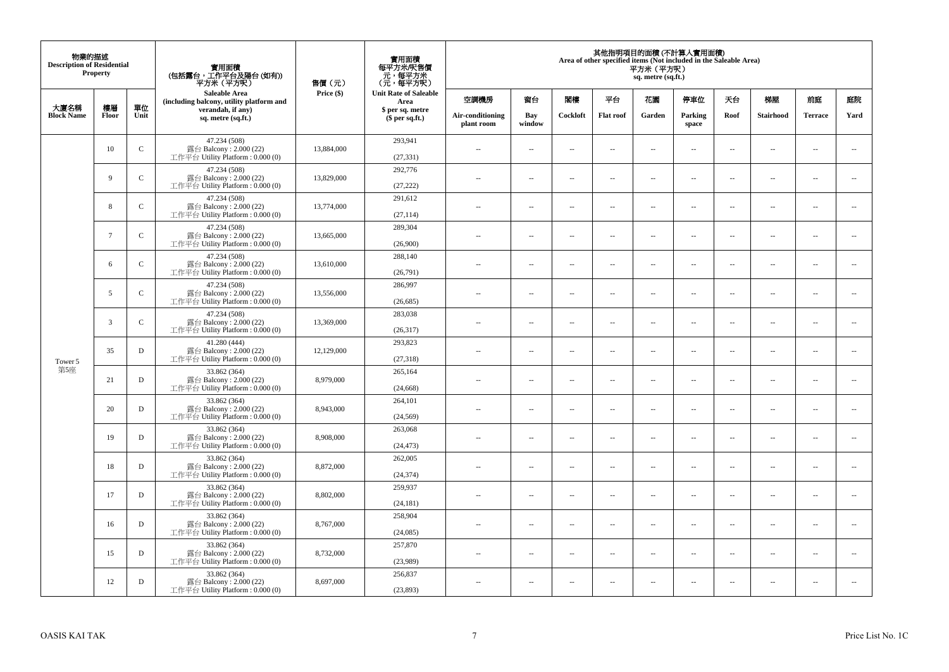| 物業的描述<br><b>Description of Residential</b> | Property        |              | 實用面積<br>(包括露台,工作平台及陽台(如有))<br>平方米 (平方呎)                                      | 售價(元)      | 實用面積<br>每平方米/呎售價<br>- 元, 每平方米<br>(元, 每平方呎) |                                |                          |                          |                          | 平方米 (平方呎)<br>sq. metre (sq.ft.) | 其他指明項目的面積 (不計算入實用面積)<br>Area of other specified items (Not included in the Saleable Area) |                          |                          |                          |                          |
|--------------------------------------------|-----------------|--------------|------------------------------------------------------------------------------|------------|--------------------------------------------|--------------------------------|--------------------------|--------------------------|--------------------------|---------------------------------|-------------------------------------------------------------------------------------------|--------------------------|--------------------------|--------------------------|--------------------------|
|                                            |                 |              | <b>Saleable Area</b><br>(including balcony, utility platform and             | Price (\$) | <b>Unit Rate of Saleable</b><br>Area       | 空調機房                           | 窗台                       | 閣樓                       | 平台                       | 花園                              | 停車位                                                                                       | 夭台                       | 梯屋                       | 前庭                       | 庭院                       |
| 大廈名稱<br><b>Block Name</b>                  | 樓層<br>Floor     | 單位<br>Unit   | verandah, if any)<br>sq. metre (sq.ft.)                                      |            | \$ per sq. metre<br>\$per sq.ft.)          | Air-conditioning<br>plant room | Bay<br>window            | Cockloft                 | <b>Flat roof</b>         | Garden                          | Parking<br>space                                                                          | Roof                     | Stairhood                | <b>Terrace</b>           | Yard                     |
|                                            | 10              | $\mathbf C$  | 47.234 (508)<br>露台 Balcony: 2.000 (22)<br>工作平台 Utility Platform: 0.000 (0)   | 13,884,000 | 293,941<br>(27, 331)                       | ÷.                             | μ.                       | $\sim$                   | $\sim$                   | μ.                              | $\sim$                                                                                    | $\overline{\phantom{a}}$ | $\overline{\phantom{a}}$ | $\bar{a}$                | $\sim$                   |
|                                            | 9               | $\mathsf{C}$ | 47.234 (508)<br>露台 Balcony: 2.000 (22)<br>工作平台 Utility Platform: 0.000 (0)   | 13,829,000 | 292,776<br>(27, 222)                       | ÷.                             | $\overline{a}$           | $\sim$                   | $\sim$                   | $\overline{a}$                  | $\sim$                                                                                    | $\sim$                   | $\overline{\phantom{a}}$ | $\sim$                   | $\sim$                   |
|                                            | 8               | $\mathbf C$  | 47.234 (508)<br>露台 Balcony: 2.000 (22)<br>工作平台 Utility Platform : $0.000(0)$ | 13,774,000 | 291,612<br>(27, 114)                       | $\sim$ $-$                     | $\overline{\phantom{a}}$ | $\overline{\phantom{a}}$ | $\sim$                   | $\overline{\phantom{a}}$        | $\sim$                                                                                    | $\overline{\phantom{a}}$ | $\overline{\phantom{a}}$ | $\sim$                   | $\overline{\phantom{a}}$ |
|                                            | $7\phantom{.0}$ | $\mathbf C$  | 47.234 (508)<br>露台 Balcony: 2.000 (22)<br>工作平台 Utility Platform: 0.000 (0)   | 13,665,000 | 289,304<br>(26,900)                        | $\sim$                         | $\overline{a}$           | $\sim$                   | $\sim$                   | $\sim$                          | $\sim$                                                                                    | $\sim$                   | $\sim$                   | $\sim$                   | $\sim$                   |
|                                            | 6               | $\mathbf C$  | 47.234 (508)<br>露台 Balcony: 2.000 (22)<br>工作平台 Utility Platform: 0.000 (0)   | 13,610,000 | 288,140<br>(26,791)                        | ٠.                             | μ.                       | $\sim$                   | $\overline{\phantom{a}}$ | $\overline{\phantom{a}}$        | $\sim$                                                                                    | $\overline{\phantom{a}}$ | $\overline{\phantom{a}}$ | $\bar{a}$                | $\sim$                   |
|                                            | 5               | $\mathbf C$  | 47.234 (508)<br>露台 Balcony: 2.000 (22)<br>工作平台 Utility Platform : $0.000(0)$ | 13,556,000 | 286,997<br>(26, 685)                       | $\overline{a}$                 | μ.                       | $\sim$                   | $\overline{\phantom{a}}$ | μ.                              | $\sim$                                                                                    | $\sim$                   | $\overline{\phantom{a}}$ | $\sim$                   | $\sim$                   |
|                                            | $\overline{3}$  | $\mathsf{C}$ | 47.234 (508)<br>露台 Balcony: 2.000 (22)<br>工作平台 Utility Platform : 0.000 (0)  | 13.369,000 | 283,038<br>(26, 317)                       | $\sim$ $\sim$                  | $\overline{a}$           | $\sim$                   | $\sim$                   | $\overline{a}$                  | $\sim$                                                                                    | $\overline{\phantom{a}}$ | $\sim$                   | $\sim$                   | $\overline{\phantom{a}}$ |
| Tower 5                                    | 35              | D            | 41.280 (444)<br>露台 Balcony: 2.000 (22)<br>工作平台 Utility Platform: 0.000 (0)   | 12,129,000 | 293,823<br>(27, 318)                       | $\sim$                         | $\sim$                   | $\sim$                   | $\sim$                   | $\sim$                          | $\sim$                                                                                    | $\overline{\phantom{a}}$ | $\sim$                   | $\sim$                   | $\overline{\phantom{a}}$ |
| 第5座                                        | 21              | D            | 33.862 (364)<br>露台 Balcony: 2.000 (22)<br>工作平台 Utility Platform : 0.000 (0)  | 8,979,000  | 265,164<br>(24, 668)                       | $\sim$                         | $\overline{\phantom{a}}$ | $\sim$                   | $\sim$                   | $\overline{\phantom{a}}$        | $\sim$                                                                                    | $\overline{\phantom{a}}$ | $\overline{\phantom{a}}$ | $\bar{a}$                | $\overline{\phantom{a}}$ |
|                                            | 20              | $\mathbf D$  | 33.862 (364)<br>露台 Balcony: 2.000 (22)<br>工作平台 Utility Platform: 0.000 (0)   | 8,943,000  | 264,101<br>(24, 569)                       | ÷.                             | $\overline{a}$           | $\sim$                   | $\sim$                   | $\sim$                          | $\sim$                                                                                    | $\sim$                   | $\overline{\phantom{a}}$ | $\sim$                   | $\sim$                   |
|                                            | 19              | D            | 33.862 (364)<br>露台 Balcony: 2.000 (22)<br>工作平台 Utility Platform : $0.000(0)$ | 8,908,000  | 263,068<br>(24, 473)                       | $\overline{\phantom{a}}$       | $\overline{\phantom{a}}$ | $\overline{\phantom{a}}$ | $\sim$                   | $\ldots$                        | $\sim$                                                                                    | $\overline{\phantom{a}}$ | $\overline{\phantom{a}}$ | $\overline{\phantom{a}}$ | $\overline{\phantom{a}}$ |
|                                            | 18              | $\mathbf D$  | 33.862 (364)<br>露台 Balcony: 2.000 (22)<br>工作平台 Utility Platform: 0.000 (0)   | 8,872,000  | 262,005<br>(24, 374)                       | ÷.                             | $\sim$                   | $\sim$                   | $\sim$                   | $\sim$                          | $\sim$                                                                                    | $\sim$                   | $\sim$                   | $\sim$                   | $\sim$                   |
|                                            | 17              | D            | 33.862 (364)<br>露台 Balcony: 2.000 (22)<br>工作平台 Utility Platform: 0.000 (0)   | 8,802,000  | 259,937<br>(24, 181)                       | $\overline{a}$                 | $\overline{\phantom{a}}$ | $\sim$                   | $\sim$                   | $\overline{\phantom{a}}$        | $\sim$                                                                                    | $\overline{\phantom{a}}$ | $\overline{\phantom{a}}$ | $\sim$                   | $\sim$                   |
|                                            | 16              | D            | 33.862 (364)<br>露台 Balcony: 2.000 (22)<br>工作平台 Utility Platform: 0.000 (0)   | 8,767,000  | 258,904<br>(24,085)                        | $\overline{a}$                 | μ.                       | $\sim$                   | $\sim$                   | $\overline{a}$                  | $\sim$                                                                                    | $\sim$                   | $\overline{\phantom{a}}$ | $\sim$                   | $\sim$                   |
|                                            | 15              | D            | 33.862 (364)<br>露台 Balcony: 2.000 (22)<br>工作平台 Utility Platform : $0.000(0)$ | 8,732,000  | 257,870<br>(23,989)                        | $\sim$                         | μ.                       | $\sim$                   | $\sim$                   | $\overline{a}$                  | $\sim$                                                                                    | $\overline{\phantom{a}}$ | $\overline{\phantom{a}}$ | $\sim$                   | $\sim$                   |
|                                            | 12              | D            | 33.862 (364)<br>露台 Balcony: 2.000 (22)<br>工作平台 Utility Platform : 0.000 (0)  | 8,697,000  | 256,837<br>(23,893)                        | ٠.                             | --                       | $\overline{\phantom{a}}$ | $\overline{\phantom{a}}$ | $\overline{\phantom{a}}$        | $\overline{\phantom{a}}$                                                                  | $\overline{\phantom{a}}$ | $\cdots$                 | $\sim$                   | $\sim$                   |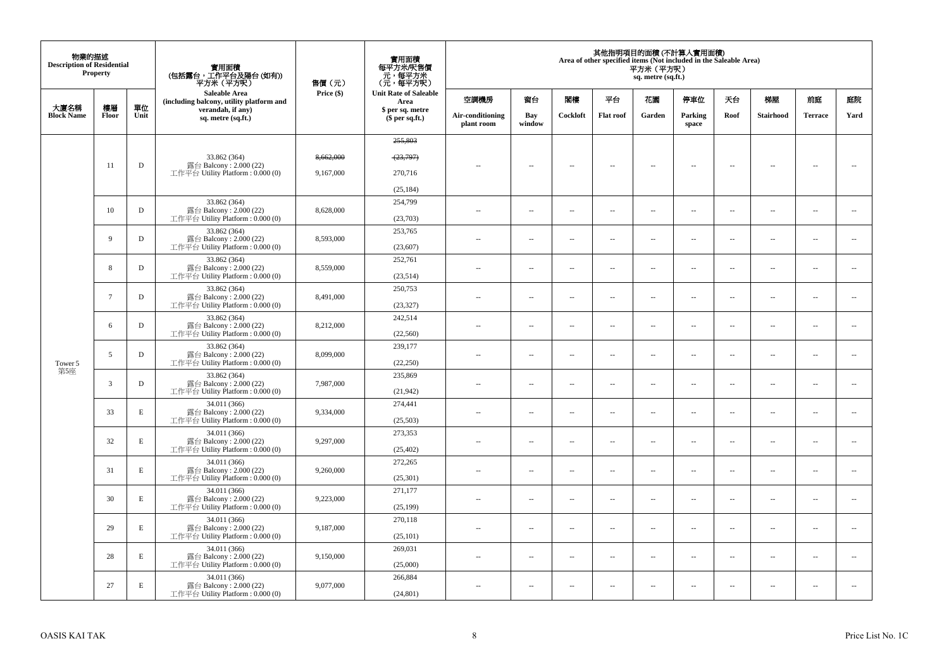| 物業的描述<br><b>Description of Residential</b> | Property    |             | 實用面積<br>(包括露台,工作平台及陽台(如有))<br>平方米 (平方呎)                                     | 售價(元)      | 實用面積<br>每平方米/呎售價<br>元,每平方米<br>(元,每平方呎) |                                |                          |                          |                          | 平方米 (平方呎)<br>sq. metre (sq.ft.) | 其他指明項目的面積 (不計算入實用面積)<br>Area of other specified items (Not included in the Saleable Area) |                          |                          |                          |                          |
|--------------------------------------------|-------------|-------------|-----------------------------------------------------------------------------|------------|----------------------------------------|--------------------------------|--------------------------|--------------------------|--------------------------|---------------------------------|-------------------------------------------------------------------------------------------|--------------------------|--------------------------|--------------------------|--------------------------|
|                                            |             |             | Saleable Area<br>(including balcony, utility platform and                   | Price (\$) | <b>Unit Rate of Saleable</b><br>Area   | 空調機房                           | 窗台                       | 閣樓                       | 平台                       | 花園                              | 停車位                                                                                       | 天台                       | 梯屋                       | 前庭                       | 庭院                       |
| 大廈名稱<br><b>Block Name</b>                  | 樓層<br>Floor | 單位<br>Unit  | verandah, if any)<br>sq. metre (sq.ft.)                                     |            | \$ per sq. metre<br>$$$ per sq.ft.)    | Air-conditioning<br>plant room | Bay<br>window            | Cockloft                 | <b>Flat roof</b>         | Garden                          | Parking<br>space                                                                          | Roof                     | Stairhood                | <b>Terrace</b>           | Yard                     |
|                                            |             |             |                                                                             |            | 255,803                                |                                |                          |                          |                          |                                 |                                                                                           |                          |                          |                          |                          |
|                                            |             |             | 33.862 (364)                                                                | 8,662,000  | (23,797)                               |                                |                          |                          |                          |                                 |                                                                                           |                          |                          |                          |                          |
|                                            | 11          | ${\bf D}$   | 露台 Balcony: 2.000 (22)<br>工作平台 Utility Platform: 0.000 (0)                  | 9,167,000  | 270,716                                | $\overline{a}$                 | $\overline{\phantom{a}}$ | $\sim$                   | $\overline{\phantom{a}}$ | $\overline{\phantom{a}}$        | $\sim$                                                                                    | $\sim$                   | $\overline{\phantom{a}}$ | $\sim$                   | $\sim$                   |
|                                            |             |             |                                                                             |            | (25, 184)                              |                                |                          |                          |                          |                                 |                                                                                           |                          |                          |                          |                          |
|                                            | 10          | D           | 33.862 (364)<br>露台 Balcony: 2.000 (22)                                      | 8,628,000  | 254,799                                | $\sim$                         | $\overline{\phantom{a}}$ | $\sim$                   | $\overline{\phantom{a}}$ | $\overline{\phantom{a}}$        | $\sim$                                                                                    | $\overline{\phantom{a}}$ | $\overline{\phantom{a}}$ | $\overline{\phantom{a}}$ | $\overline{\phantom{a}}$ |
|                                            |             |             | 工作平台 Utility Platform: 0.000 (0)                                            |            | (23,703)                               |                                |                          |                          |                          |                                 |                                                                                           |                          |                          |                          |                          |
|                                            | 9           | $\mathbf D$ | 33.862 (364)<br>露台 Balcony: 2.000 (22)                                      | 8,593,000  | 253,765                                | $\sim$                         | --                       | $\overline{\phantom{a}}$ | $\sim$                   | $\overline{a}$                  | $\sim$                                                                                    | $\overline{\phantom{a}}$ | $\overline{\phantom{a}}$ | $\sim$                   | $\sim$                   |
|                                            |             |             | 工作平台 Utility Platform: 0.000 (0)                                            |            | (23,607)                               |                                |                          |                          |                          |                                 |                                                                                           |                          |                          |                          |                          |
|                                            | 8           | D           | 33.862 (364)<br>露台 Balcony: 2.000 (22)                                      | 8,559,000  | 252,761                                | $\overline{a}$                 | $\overline{\phantom{a}}$ | $\sim$                   | $\sim$                   | $\overline{\phantom{a}}$        | $\sim$                                                                                    | $\overline{\phantom{a}}$ | $\sim$                   | $\sim$                   | $\overline{\phantom{a}}$ |
|                                            |             |             | 工作平台 Utility Platform : $0.000(0)$                                          |            | (23,514)                               |                                |                          |                          |                          |                                 |                                                                                           |                          |                          |                          |                          |
|                                            | $\tau$      | $\mathbf D$ | 33.862 (364)<br>露台 Balcony: 2.000 (22)<br>工作平台 Utility Platform: 0.000 (0)  | 8,491,000  | 250,753<br>(23, 327)                   | $\sim$                         | $\overline{\phantom{a}}$ | $\sim$                   | $\sim$                   | $\overline{\phantom{a}}$        | $\sim$                                                                                    | $\sim$                   | $\overline{\phantom{a}}$ | $\sim$                   | $\sim$                   |
|                                            |             | D           | 33.862 (364)                                                                |            | 242,514                                |                                |                          |                          |                          |                                 |                                                                                           |                          |                          |                          |                          |
|                                            | 6           |             | 露台 Balcony: 2.000 (22)<br>工作平台 Utility Platform : $0.000(0)$                | 8,212,000  | (22, 560)                              | $\overline{a}$                 | $\overline{a}$           | $\sim$                   | $\sim$                   | $\overline{\phantom{a}}$        | $\sim$                                                                                    | $\overline{\phantom{a}}$ | $\overline{\phantom{a}}$ | $\sim$                   | $\overline{\phantom{a}}$ |
|                                            | 5           | $\mathbf D$ | 33.862 (364)<br>露台 Balcony: 2.000 (22)                                      | 8,099,000  | 239,177                                | $\sim$                         | $\overline{a}$           | $\sim$                   | $\sim$                   | $\sim$                          | $\sim$                                                                                    | $\sim$                   | $\sim$                   | $\sim$                   | $\sim$                   |
| Tower 5<br>第5座                             |             |             | 工作平台 Utility Platform : 0.000 (0)                                           |            | (22, 250)                              |                                |                          |                          |                          |                                 |                                                                                           |                          |                          |                          |                          |
|                                            | 3           | $\mathbf D$ | 33.862 (364)<br>露台 Balcony: 2.000 (22)<br>工作平台 Utility Platform : 0.000 (0) | 7,987,000  | 235,869<br>(21,942)                    | μ.                             | μ.                       | $\overline{\phantom{a}}$ | $\sim$                   | Ξ.                              | $\overline{\phantom{a}}$                                                                  | $\overline{\phantom{a}}$ | $\overline{\phantom{a}}$ | $\ldots$                 | $\overline{\phantom{a}}$ |
|                                            |             |             | 34.011 (366)                                                                |            | 274,441                                |                                |                          |                          |                          |                                 |                                                                                           |                          |                          |                          |                          |
|                                            | 33          | E           | 露台 Balcony: 2.000 (22)<br>工作平台 Utility Platform: 0.000 (0)                  | 9,334,000  | (25,503)                               | $\overline{a}$                 | μ.                       | $\sim$                   | $\sim$                   | $\overline{\phantom{a}}$        | $\sim$                                                                                    | $\overline{\phantom{a}}$ | $\overline{\phantom{a}}$ | $\sim$                   | $\overline{\phantom{a}}$ |
|                                            | 32          | $\mathbf E$ | 34.011 (366)<br>露台 Balcony: 2.000 (22)                                      | 9,297,000  | 273,353                                | $\overline{\phantom{a}}$       | --                       | $\sim$                   | $\overline{\phantom{a}}$ | ш.                              | $\sim$                                                                                    | $\overline{\phantom{a}}$ | $\cdots$                 | $\sim$                   | $\overline{\phantom{a}}$ |
|                                            |             |             | 工作平台 Utility Platform : 0.000 (0)                                           |            | (25, 402)                              |                                |                          |                          |                          |                                 |                                                                                           |                          |                          |                          |                          |
|                                            | 31          | $\mathbf E$ | 34.011 (366)<br>露台 Balcony: 2.000 (22)                                      | 9,260,000  | 272,265                                | $\overline{a}$                 | $\overline{\phantom{a}}$ | $\overline{\phantom{a}}$ | $\sim$                   | $\ldots$                        | $\sim$                                                                                    | $\overline{\phantom{a}}$ | $\overline{\phantom{a}}$ | $\sim$                   | $\overline{\phantom{a}}$ |
|                                            |             |             | 工作平台 Utility Platform : $0.000(0)$                                          |            | (25,301)                               |                                |                          |                          |                          |                                 |                                                                                           |                          |                          |                          |                          |
|                                            | 30          | $\mathbf E$ | 34.011 (366)<br>露台 Balcony: 2.000 (22)                                      | 9,223,000  | 271,177                                | $\overline{a}$                 | $\sim$                   | $\sim$                   | $\sim$                   | $\sim$                          | $\sim$                                                                                    | $\sim$                   | $\sim$                   | $\sim$                   | $\sim$                   |
|                                            |             |             | 工作平台 Utility Platform: 0.000 (0)                                            |            | (25, 199)                              |                                |                          |                          |                          |                                 |                                                                                           |                          |                          |                          |                          |
|                                            | 29          | $\mathbf E$ | 34.011 (366)<br>露台 Balcony: 2.000 (22)                                      | 9,187,000  | 270,118                                | ÷.                             | ш.                       | $\sim$                   | $\sim$                   | $\ldots$                        | $\sim$                                                                                    | $\overline{\phantom{a}}$ | $\overline{\phantom{a}}$ | $\bar{a}$                | $\sim$                   |
|                                            |             |             | 工作平台 Utility Platform: 0.000 (0)<br>34.011 (366)                            |            | (25, 101)<br>269,031                   |                                |                          |                          |                          |                                 |                                                                                           |                          |                          |                          |                          |
|                                            | 28          | E           | 露台 Balcony: 2.000 (22)<br>工作平台 Utility Platform : 0.000 (0)                 | 9,150,000  | (25,000)                               | $\sim$                         | $\sim$                   | $\sim$                   | $\sim$                   | $\sim$                          | $\sim$                                                                                    | $\sim$                   | $\overline{\phantom{a}}$ | $\sim$                   | $\sim$                   |
|                                            | 27          | $\mathbf E$ | 34.011 (366)                                                                |            | 266,884                                |                                |                          |                          |                          |                                 |                                                                                           |                          |                          |                          | $\sim$                   |
|                                            |             |             | 露台 Balcony: 2.000 (22)<br>工作平台 Utility Platform: 0.000 (0)                  | 9,077,000  | (24, 801)                              | $\sim$ $-$                     | --                       | $\overline{\phantom{a}}$ | $\overline{\phantom{a}}$ | --                              | $\overline{\phantom{a}}$                                                                  | $\overline{\phantom{a}}$ | $\cdots$                 | $\overline{\phantom{a}}$ |                          |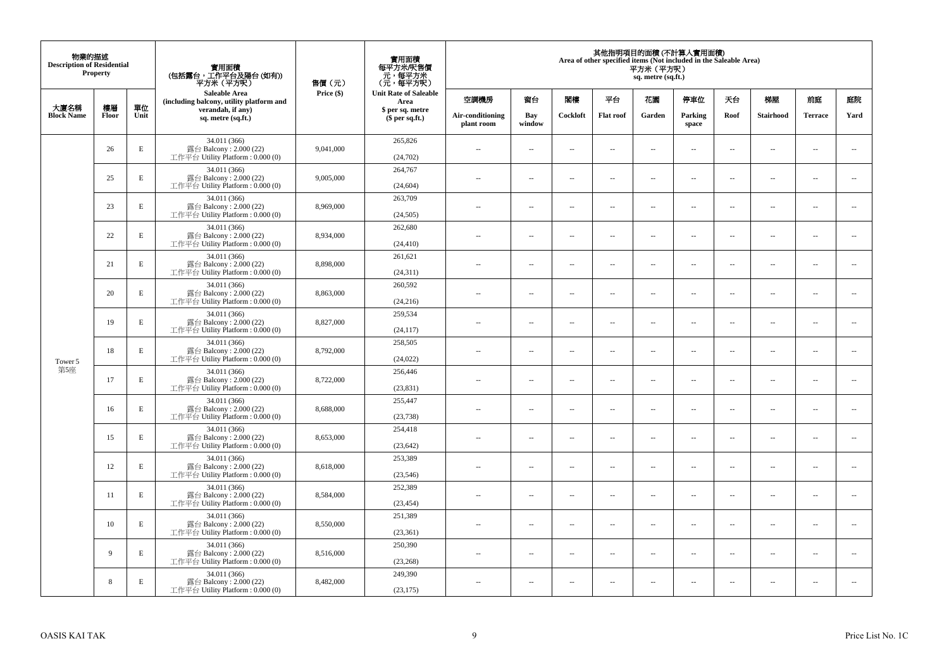| 物業的描述<br><b>Description of Residential</b> | <b>Property</b> |             | 實用面積<br>(包括露台,工作平台及陽台(如有))<br>平方米(平方呎)                                       | 售價(元)      | 實用面積<br>每平方米/呎售價<br>- 元, 每平方米<br>(元, 每平方呎) |                                |                          |                          | Area of other specified items (Not included in the Saleable Area) | 平方米 (平方呎)<br>sq. metre (sq.ft.) | 其他指明項目的面積 (不計算入實用面積)     |                          |                          |                          |                             |
|--------------------------------------------|-----------------|-------------|------------------------------------------------------------------------------|------------|--------------------------------------------|--------------------------------|--------------------------|--------------------------|-------------------------------------------------------------------|---------------------------------|--------------------------|--------------------------|--------------------------|--------------------------|-----------------------------|
| 大廈名稱                                       | 樓層              | 單位          | <b>Saleable Area</b><br>(including balcony, utility platform and             | Price (\$) | <b>Unit Rate of Saleable</b><br>Area       | 空調機房                           | 窗台                       | 閣樓                       | 平台                                                                | 花園                              | 停車位                      | 天台                       | 梯屋                       | 前庭                       | 庭院                          |
| <b>Block Name</b>                          | Floor           | Unit        | verandah, if any)<br>sq. metre (sq.ft.)                                      |            | \$ per sq. metre<br>\$per sq.ft.)          | Air-conditioning<br>plant room | Bay<br>window            | Cockloft                 | <b>Flat</b> roof                                                  | Garden                          | Parking<br>space         | Roof                     | Stairhood                | <b>Terrace</b>           | Yard                        |
|                                            | 26              | E           | 34.011 (366)<br>露台 Balcony: 2.000 (22)<br>工作平台 Utility Platform: 0.000 (0)   | 9,041,000  | 265,826<br>(24,702)                        | $\ddot{\phantom{a}}$           | $\overline{\phantom{a}}$ | $\sim$                   | μ.                                                                | $\sim$                          | $\sim$                   | $\overline{\phantom{a}}$ | Ξ.                       | $\ddot{\phantom{a}}$     | $\sim$                      |
|                                            | 25              | E           | 34.011 (366)<br>露台 Balcony: 2.000 (22)<br>工作平台 Utility Platform: 0.000 (0)   | 9,005,000  | 264,767<br>(24, 604)                       | $\sim$                         | $\overline{a}$           | $\sim$                   | $\sim$                                                            | $\sim$                          | $\sim$                   | $\sim$                   | $\sim$                   | $\sim$                   | $\mathcal{L}_{\mathcal{A}}$ |
|                                            | 23              | $\mathbf E$ | 34.011 (366)<br>露台 Balcony: 2.000 (22)<br>工作平台 Utility Platform : 0.000 (0)  | 8,969,000  | 263,709<br>(24, 505)                       | $\overline{\phantom{a}}$       | $\overline{\phantom{a}}$ | $\overline{\phantom{a}}$ | --                                                                | $\overline{\phantom{a}}$        | $\overline{\phantom{a}}$ | $\overline{\phantom{a}}$ | $\overline{\phantom{a}}$ | $\overline{\phantom{a}}$ | $\overline{\phantom{a}}$    |
|                                            | 22              | E           | 34.011 (366)<br>露台 Balcony: 2.000 (22)<br>工作平台 Utility Platform: 0.000 (0)   | 8,934,000  | 262,680<br>(24, 410)                       | $\sim$                         | $\overline{\phantom{a}}$ | $\sim$                   | $\sim$                                                            | $\overline{\phantom{a}}$        | $\sim$                   | $\sim$                   | $\sim$                   | $\overline{\phantom{a}}$ | $\sim$                      |
|                                            | 21              | $\mathbf E$ | 34.011 (366)<br>露台 Balcony: 2.000 (22)<br>工作平台 Utility Platform: 0.000 (0)   | 8,898,000  | 261,621<br>(24, 311)                       |                                | ш.                       | ÷.                       | μ.                                                                | $\sim$                          | $\sim$                   | $\sim$                   | Ξ.                       | $\ddot{\phantom{a}}$     | $\sim$                      |
| Tower 5                                    | 20              | $\mathbf E$ | 34.011 (366)<br>露台 Balcony: 2.000 (22)<br>工作平台 Utility Platform: 0.000 (0)   | 8,863,000  | 260,592<br>(24, 216)                       | ×.                             | $\sim$                   | $\sim$                   | $\sim$                                                            | $\sim$                          | $\sim$                   | $\sim$                   | $\overline{a}$           | $\sim$                   | $\sim$                      |
|                                            | 19              | E           | 34.011 (366)<br>露台 Balcony: 2.000 (22)<br>工作平台 Utility Platform: 0.000 (0)   | 8,827,000  | 259,534<br>(24, 117)                       | $\sim$                         | $\overline{\phantom{a}}$ | $\sim$                   | $\overline{\phantom{a}}$                                          | $\overline{\phantom{a}}$        | $\overline{\phantom{a}}$ | $\overline{\phantom{a}}$ | $\overline{\phantom{a}}$ | $\overline{\phantom{a}}$ | $\overline{\phantom{a}}$    |
|                                            | 18              | E           | 34.011 (366)<br>露台 Balcony: 2.000 (22)<br>工作平台 Utility Platform: 0.000 (0)   | 8,792,000  | 258,505<br>(24, 022)                       | $\sim$                         | $\overline{a}$           | $\sim$                   | $\sim$                                                            | $\overline{a}$                  | $\sim$                   | $\overline{\phantom{a}}$ | $\overline{a}$           | $\sim$                   | $\overline{\phantom{a}}$    |
| 第5座                                        | 17              | $\mathbf E$ | 34.011 (366)<br>露台 Balcony: 2.000 (22)<br>工作平台 Utility Platform: 0.000 (0)   | 8,722,000  | 256,446<br>(23, 831)                       | $\overline{\phantom{a}}$       | $\sim$                   | $\sim$                   | $\sim$                                                            | $\sim$                          | $\sim$                   | $\overline{\phantom{a}}$ | $\overline{a}$           | $\sim$                   | $\ddot{\phantom{a}}$        |
|                                            | 16              | $\mathbf E$ | 34.011 (366)<br>露台 Balcony: 2.000 (22)<br>工作平台 Utility Platform: 0.000 (0)   | 8,688,000  | 255,447<br>(23, 738)                       | $\sim$                         | $\sim$                   | $\sim$                   | $\sim$                                                            | $\sim$ $\sim$                   | $\overline{\phantom{a}}$ | $\sim$                   | $\sim$                   | $\overline{\phantom{a}}$ | $\overline{\phantom{a}}$    |
|                                            | 15              | E           | 34.011 (366)<br>露台 Balcony: 2.000 (22)<br>工作平台 Utility Platform : 0.000 (0)  | 8,653,000  | 254,418<br>(23, 642)                       |                                | $\overline{\phantom{a}}$ | $\sim$                   | μ.                                                                | $\sim$                          | $\sim$                   | $\overline{\phantom{a}}$ | Ξ.                       | $\ddot{\phantom{a}}$     | $\sim$                      |
|                                            | 12              | E           | 34.011 (366)<br>露台 Balcony: 2.000 (22)<br>工作平台 Utility Platform : 0.000 (0)  | 8,618,000  | 253,389<br>(23, 546)                       | $\sim$                         | $\overline{a}$           | $\sim$                   | $\sim$                                                            | $\overline{a}$                  | $\sim$                   | $\overline{\phantom{a}}$ | $\overline{a}$           | $\sim$                   | $\sim$                      |
|                                            | 11              | $\mathbf E$ | 34.011 (366)<br>露台 Balcony: 2.000 (22)<br>工作平台 Utility Platform : 0.000 (0)  | 8,584,000  | 252,389<br>(23, 454)                       | 44                             | $\overline{\phantom{a}}$ | $\sim$                   | μ.                                                                | $\overline{\phantom{a}}$        | $\sim$                   | $\overline{\phantom{a}}$ | Ξ.                       | $\ddot{\phantom{a}}$     | $\sim$                      |
|                                            | 10              | E           | 34.011 (366)<br>露台 Balcony: 2.000 (22)<br>工作平台 Utility Platform : 0.000 (0)  | 8,550,000  | 251,389<br>(23, 361)                       | $\sim$                         | $\sim$                   | $\sim$                   | $\sim$                                                            | $\sim$ $\sim$                   | $\sim$                   | $\sim$                   | $\sim$                   | $\sim$                   | $\sim$                      |
|                                            | 9               | E           | 34.011 (366)<br>露台 Balcony: 2.000 (22)<br>工作平台 Utility Platform : $0.000(0)$ | 8,516,000  | 250,390<br>(23, 268)                       | $\sim$                         | $\overline{\phantom{a}}$ | $\sim$                   | μ.                                                                | $\overline{\phantom{a}}$        | $\sim$                   | $\overline{\phantom{a}}$ | $\overline{\phantom{a}}$ | $\sim$                   | $\sim$                      |
|                                            | 8               | E           | 34.011 (366)<br>露台 Balcony: 2.000 (22)<br>工作平台 Utility Platform: 0.000 (0)   | 8,482,000  | 249,390<br>(23, 175)                       | $\sim$                         | $\sim$                   | $\sim$                   | $\sim$                                                            | $\sim$ $\sim$                   | $\sim$                   | $\overline{\phantom{a}}$ | $\sim$                   | $\sim$                   | $\sim$                      |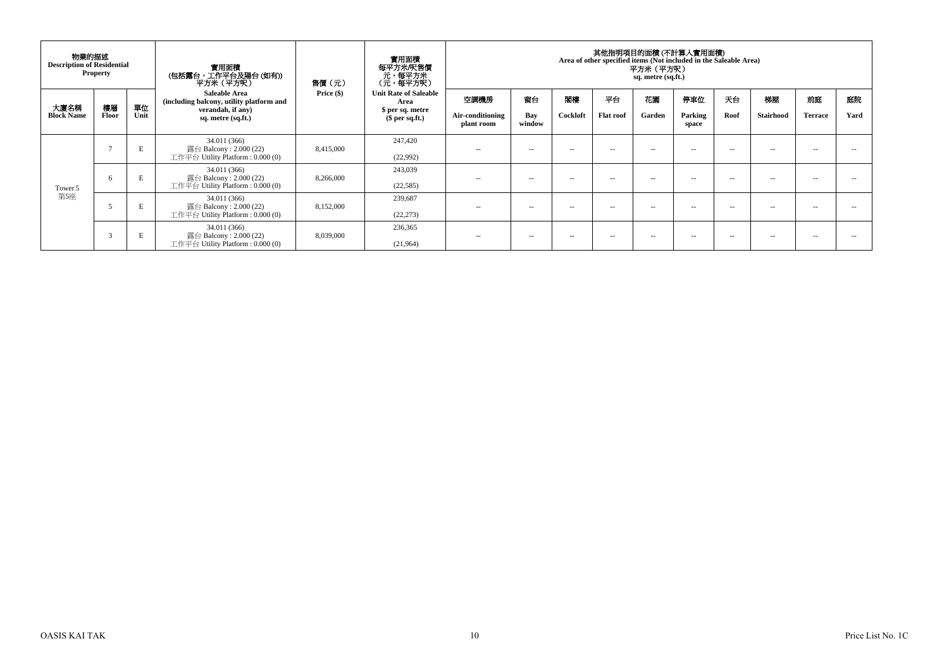| 物業的描述<br><b>Description of Residential</b> | <b>Property</b> |            | 實用面積<br>(包括露台,工作平台及陽台 (如有))<br>平方米(平方呎)                                                                                                                                                      | 售價(元)      | 實用面積<br>每平方米/呎售價<br>、元, 每平方米<br>(元, 每平方呎)                                 |                                        |                     |                |                        | 平方米 (平方呎)<br>sq. metre (sq.ft.) | 其他指明項目的面積(不計算入實用面積)<br>Area of other specified items (Not included in the Saleable Area) |            |                 |                      |            |
|--------------------------------------------|-----------------|------------|----------------------------------------------------------------------------------------------------------------------------------------------------------------------------------------------|------------|---------------------------------------------------------------------------|----------------------------------------|---------------------|----------------|------------------------|---------------------------------|------------------------------------------------------------------------------------------|------------|-----------------|----------------------|------------|
| 大廈名稱<br><b>Block Name</b>                  | 樓層<br>Floor     | 單位<br>Unit | <b>Saleable Area</b><br>(including balcony, utility platform and<br>verandah, if any)<br>sq. metre (sq.ft.)<br>34.011 (366)<br>露台 Balcony : 2.000 (22)<br>工作平台 Utility Platform : $0.000(0)$ | Price (\$) | <b>Unit Rate of Saleable</b><br>Area<br>\$ per sq. metre<br>\$per sq.ft.) | 空調機房<br>Air-conditioning<br>plant room | 窗台<br>Bay<br>window | 閣樓<br>Cockloft | 平台<br><b>Flat roof</b> | 花園<br>Garden                    | 停車位<br>Parking<br>space                                                                  | 天台<br>Roof | 梯屋<br>Stairhood | 前庭<br><b>Terrace</b> | 庭院<br>Yard |
| Tower 5<br>第5座                             | $\overline{a}$  | E          |                                                                                                                                                                                              | 8,415,000  | 247,420<br>(22,992)                                                       | $\sim$ $-$                             | $\sim$              | $\sim$         | $\sim$ $-$             | $\sim$ $\sim$                   | $\sim$ $\sim$                                                                            | $ -$       | $\sim$ $-$      | $\sim$ $-$           |            |
|                                            | 6               | E          | 34.011 (366)<br>露台 Balcony : $2.000(22)$<br>工作平台 Utility Platform : $0.000(0)$                                                                                                               | 8,266,000  | 243,039<br>(22,585)                                                       | $\sim$ $-$                             | $\sim$              | $\sim$ $\sim$  | --                     | -                               | $\sim$ $\sim$                                                                            | $- -$      | $\sim$ $-$      | $\sim$ $\sim$        |            |
|                                            |                 | E          | 34.011 (366)<br>露台 Balcony : $2.000(22)$<br>工作平台 Utility Platform : $0.000(0)$                                                                                                               | 8,152,000  | 239,687<br>(22, 273)                                                      | $\sim$ $-$                             | $\sim$              | -              | --                     | -                               | --                                                                                       | $ -$       | $\sim$          | --                   |            |
|                                            | $\overline{3}$  | E          | 34.011 (366)<br>露台 Balcony : $2.000(22)$<br>工作平台 Utility Platform : $0.000(0)$                                                                                                               | 8,039,000  | 236,365<br>(21,964)                                                       | $\sim$ $-$                             | $\sim$              | $\sim$ $\sim$  | $- -$                  | -                               | $\sim$ $\sim$                                                                            | $- -$      | $-$             | $\sim$ $\sim$        |            |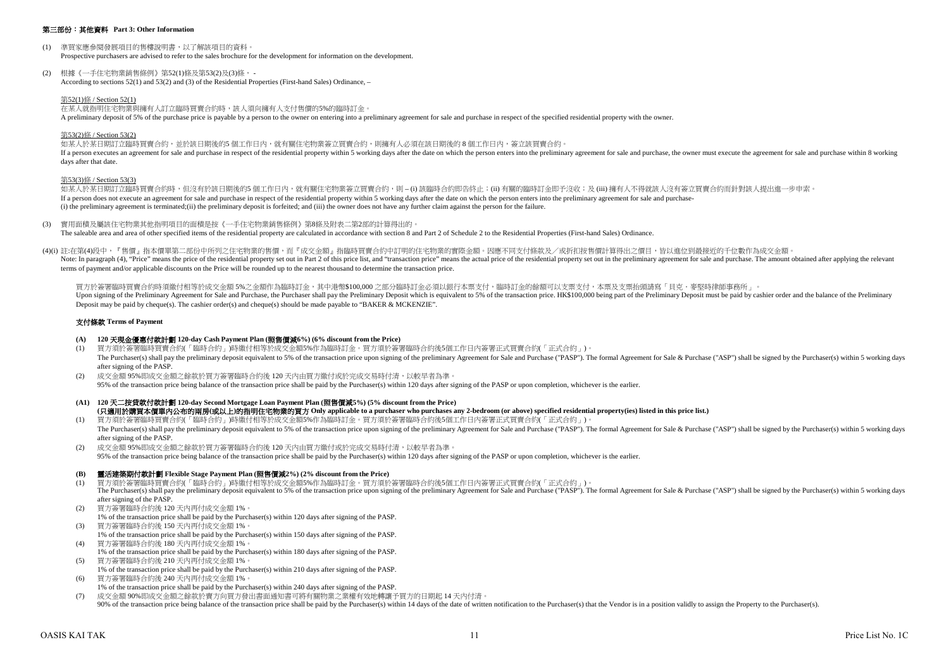#### 第三部份:其他資料 **Part 3: Other Information**

- (1) 準買家應參閱發展項目的售樓說明書,以了解該項目的資料。 Prospective purchasers are advised to refer to the sales brochure for the development for information on the development.
- (2) 根據《一手住宅物業銷售條例》第52(1)條及第53(2)及(3)條, According to sections 52(1) and 53(2) and (3) of the Residential Properties (First-hand Sales) Ordinance, –

#### 第52(1)條 / Section 52(1)

在某人就指明住宅物業與擁有人訂立臨時買賣合約時,該人須向擁有人支付售價的5%的臨時訂金。

A preliminary deposit of 5% of the purchase price is payable by a person to the owner on entering into a preliminary agreement for sale and purchase in respect of the specified residential property with the owner.

#### 第53(2)條 / Section 53(2)

如某人於某日期訂立臨時買賣合約,並於該日期後的5個工作日內,就有關住宅物業簽立買賣合約,則擁有人必須在該日期後的8個工作日內,簽立該買賣合約。 If a person executes an agreement for sale and purchase in respect of the residential property within 5 working days after the date on which the person enters into the preliminary agreement for sale and purchase, the owner days after that date.

#### 第53(3)條 / Section 53(3)

如某人於某日期訂立臨時冒賣合約時,但沒有於該日期後的5 個工作日內,就有關住宅物業簽立買賣合約,則 – (i) 該臨時合約即告終止;(ii) 有關的臨時訂金即予沒收;及 (iii) 擁有人不得就該人沒有簽立買賣合約而針對該人提出進一步申索。 If a person does not execute an agreement for sale and purchase in respect of the residential property within 5 working days after the date on which the person enters into the preliminary agreement for sale and purchase- (i) the preliminary agreement is terminated;(ii) the preliminary deposit is forfeited; and (iii) the owner does not have any further claim against the person for the failure.

(3) 實用面積及屬該住宅物業其他指明項目的面積是按《一手住宅物業銷售條例》第8條及附表二第2部的計算得出的。 The saleable area and area of other specified items of the residential property are calculated in accordance with section 8 and Part 2 of Schedule 2 to the Residential Properties (First-hand Sales) Ordinance.

(4)(i) 註:在第(4)段中,『售價』指本價單第二部份中所列之住宅物業的售價,而『成交金額』指臨時買賣合約中訂明的住宅物業的實際金額。因應不同支付條款及/或折扣按售價計算得出之價目,皆以進位到最接近的千位數作為成交金額 Note: In paragraph (4), "Price" means the price of the residential property set out in Part 2 of this price list, and "transaction price" means the actual price of the residential property set out in Part 2 of this price l terms of payment and/or applicable discounts on the Price will be rounded up to the nearest thousand to determine the transaction price.

買方於簽署臨時買賣合約時須繳付相等於成交金額 5%之金額作為臨時訂金,其中港幣\$100,000 之部分臨時訂金必須以銀行本票支付,臨時訂金的餘額可以支票支付,本票及支票抬頭請寫「貝克.麥堅時律師事務所」。 Upon signing of the Preliminary Agreement for Sale and Purchase, the Purchaser shall pay the Preliminary Deposit which is equivalent to 5% of the transaction price. HK\$100,000 being part of the Preliminary Deposit must be Deposit may be paid by cheque(s). The cashier order(s) and cheque(s) should be made payable to "BAKER & MCKENZIE".

#### 支付條款 **Terms of Payment**

#### **(A) 120** 天現金優惠付款計劃 **120-day Cash Payment Plan (**照售價減**6%) (6% discount from the Price)**

- (1) 買方須於簽署臨時買賣合約(「臨時合約」)時繳付相等於成交金額5%作為臨時訂金。買方須於簽署臨時合約後5個工作日內簽署正式買賣合約(「正式合約」)。 The Purchaser(s) shall pay the preliminary deposit equivalent to 5% of the transaction price upon signing of the preliminary Agreement for Sale and Purchase ("PASP"). The formal Agreement for Sale & Purchase ("ASP") shall after signing of the PASP.
- (2) 成交金額 95%即成交金額之餘款於買方簽署臨時合約後 120 天內由買方繳付或於完成交易時付清,以較早者為準。 95% of the transaction price being balance of the transaction price shall be paid by the Purchaser(s) within 120 days after signing of the PASP or upon completion, whichever is the earlier.
- **(A1) 120** 天二按貸款付款計劃 **120-day Second Mortgage Loan Payment Plan (**照售價減**5%) (5% discount from the Price) (**只適用於購買本價單內公布的兩房**(**或以上**)**的指明住宅物業的買方 **Only applicable to a purchaser who purchases any 2-bedroom (or above) specified residential property(ies) listed in this price list.)**
- (1) 買方須於簽署臨時買賣合約(「臨時合約」)時繳付相等於成交金額5%作為臨時訂金。買方須於簽署臨時合約後5個工作日內簽署正式買賣合約(「正式合約」)。 The Purchaser(s) shall pay the preliminary deposit equivalent to 5% of the transaction price upon signing of the preliminary Agreement for Sale and Purchase ("PASP"). The formal Agreement for Sale & Purchase ("ASP") shall after signing of the PASP.
- (2) 成交金額 95%即成交金額之餘款於買方簽署臨時合約後 120 天內由買方繳付或於完成交易時付清,以較早者為準。 95% of the transaction price being balance of the transaction price shall be paid by the Purchaser(s) within 120 days after signing of the PASP or upon completion, whichever is the earlier.

#### **(B)** 靈活建築期付款計劃 **Flexible Stage Payment Plan (**照售價減**2%) (2% discount from the Price)**

- (1) 買方須於簽署臨時買賣合約(「臨時合約」)時繳付相等於成交金額5%作為臨時訂金。買方須於簽署臨時合約後5個工作日內簽署正式買賣合約(「正式合約」)。  $\frac{1}{2}$ . The Purchaser's) shall pay the preliminary deposite outvalent to 5% of the transaction price upon signing of the preliminary deressing into the preliminary deressing of the preliminary deressing of the prelimin after signing of the PASP.
- (2) 買方簽署臨時合約後 120 天內再付成交金額 1%。
- 1% of the transaction price shall be paid by the Purchaser(s) within 120 days after signing of the PASP.
- (3) 買方簽署臨時合約後 150 天內再付成交金額 1%。
- 1% of the transaction price shall be paid by the Purchaser(s) within 150 days after signing of the PASP.
- (4) 買方簽署臨時合約後 180 天內再付成交金額 1%。 1% of the transaction price shall be paid by the Purchaser(s) within 180 days after signing of the PASP.
- (5) 買方簽署臨時合約後 210 天內再付成交金額 1%。 1% of the transaction price shall be paid by the Purchaser(s) within 210 days after signing of the PASP.
- (6) 買方簽署臨時合約後 240 天內再付成交金額 1%。 1% of the transaction price shall be paid by the Purchaser(s) within 240 days after signing of the PASP.
- (7) 成交金額 90%即成交金額之餘款於賣方向買方發出書面通知書可將有關物業之業權有效地轉讓予買方的日期起 14 天內付清。  $\frac{90\%}{20\%}$  of the transaction price being balance of the transaction price shall be paid by the Purchaser(s) within 14 days of the date of written notification to the Purchaser(s) that the Vendor is in a position val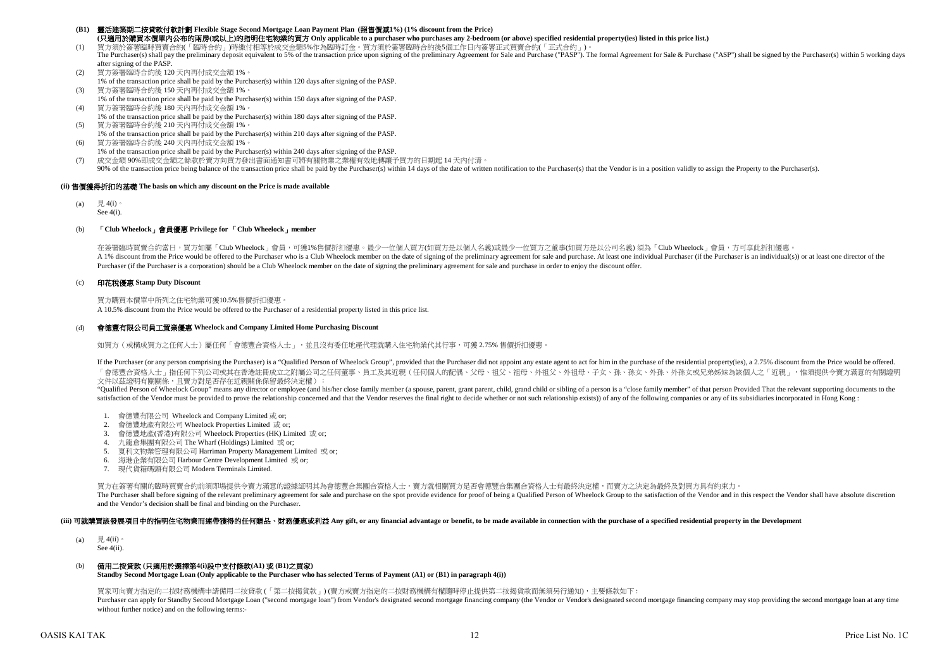#### **(B1)** 靈活建築期二按貸款付款計劃 **Flexible Stage Second Mortgage Loan Payment Plan (**照售價減**1%) (1% discount from the Price) (**只適用於購買本價單內公布的兩房**(**或以上**)**的指明住宅物業的買方 **Only applicable to a purchaser who purchases any 2-bedroom (or above) specified residential property(ies) listed in this price list.)**

(1) 買方須於簽署臨時買賣合約(「臨時合約」)時繳付相等於成交金額5%作為臨時訂金。買方須於簽署臨時合約後5個工作日內簽署正式買賣合約(「正式合約」)。

- The Purchaser(s) shall pay the preliminary deposit equivalent to 5% of the transaction price upon signing of the preliminary Agreement for Sale and Purchase ("PASP"). The formal Agreement for Sale & Purchase ("ASP") shall after signing of the PASP
- (2) 買方簽署臨時合約後 120 天內再付成交金額 1%。 1% of the transaction price shall be paid by the Purchaser(s) within 120 days after signing of the PASP.
- (3) 買方簽署臨時合約後 150 天內再付成交金額 1%。
- 1% of the transaction price shall be paid by the Purchaser(s) within 150 days after signing of the PASP. (4) 買方簽署臨時合約後 180 天內再付成交金額 1%。
- 1% of the transaction price shall be paid by the Purchaser(s) within 180 days after signing of the PASP. (5) 買方簽署臨時合約後 210 天內再付成交金額 1%。
- 1% of the transaction price shall be paid by the Purchaser(s) within 210 days after signing of the PASP.
- (6) 買方簽署臨時合約後 240 天內再付成交金額 1%。 1% of the transaction price shall be paid by the Purchaser(s) within 240 days after signing of the PASP.
- (7) 成交金額 90%即成交金額之餘款於賣方向買方發出書面通知書可將有關物業之業權有效地轉讓予買方的日期起 14 天內付清。

90% of the transaction price being balance of the transaction price shall be paid by the Purchaser(s) within 14 days of the date of written notification to the Purchaser(s) that the Vendor is in a position validly to assig

#### **(ii)** 售價獲得折扣的基礎 **The basis on which any discount on the Price is made available**

(a) 見 4(i)。 See 4(i).

#### (b) 「**Club Wheelock**」會員優惠 **Privilege for** 「**Club Wheelock**」**member**

A 1% discount from the Price would be offered to the Purchaser who is a Club Wheelock member on the date of signing of the preliminary agreement for sale and purchase. At least one individual Purchaser (if the Purchaser is Purchaser (if the Purchaser is a corporation) should be a Club Wheelock member on the date of signing the preliminary agreement for sale and purchase in order to enjoy the discount offer. 在簽署臨時買賣合約當日,買方如屬「Club Wheelock」會員,可獲1%售價折扣優惠。最少一位個人買方/如買方是以個人名義)或最少一位買方之董事(如買方是以公司名義)須為「Club Wheelock」會員,方可享此折扣優惠。

## (c) 印花稅優惠 **Stamp Duty Discount**

買方購買本價單中所列之住宅物業可獲10.5%售價折扣優惠。 A 10.5% discount from the Price would be offered to the Purchaser of a residential property listed in this price list.

#### (d) 會德豐有限公司員工置業優惠 **Wheelock and Company Limited Home Purchasing Discount**

如買方 (或構成買方之任何人士) 屬任何「會德豐合資格人士」, 並且沒有委任地產代理就購入住宅物業代其行事,可獲 2.75% 售價折扣優惠。

If the Purchaser (or any person comprising the Purchaser) is a "Qualified Person of Wheelock Group", provided that the Purchaser did not appoint any estate agent to act for him in the purchase of the residential property(i 「會德豐合資格人士」指任何下列公司或其在香港註冊成立之附屬公司之任何董事、員工及其近親(任何個人的配偶、父母、祖父、祖母、外祖父、外祖母、子女、孫、孫女、外孫、外孫女或兄弟姊妹為該個人之「近親」,惟須提供令賣方滿意的有關證明 文件以茲證明有關關係,且賣方對是否存在近親關係保留最終決定權):

"Qualified Person of Wheelock Group" means any director or employee (and his/her close family member (a spouse, parent, grant parent, child, grand child or sibling of a person is a "close family member" of that person Prov satisfaction of the Vendor must be provided to prove the relationship concerned and that the Vendor reserves the final right to decide whether or not such relationship exists)) of any of the following companies or any of i

- 1. 會德豐有限公司 Wheelock and Company Limited 或 or;
- 2. 會德豐地產有限公司 Wheelock Properties Limited 或 or;
- 3. 會德豐地產(香港)有限公司 Wheelock Properties (HK) Limited 或 or;
- 4. 九龍倉集團有限公司 The Wharf (Holdings) Limited 或 or;
- 5. 夏利文物業管理有限公司 Harriman Property Management Limited 或 or;
- 6. 海港企業有限公司 Harbour Centre Development Limited 或 or;
- 7. 現代貨箱碼頭有限公司 Modern Terminals Limited.

買方在簽署有關的臨時買賣合約前須即場提供令賣方滿意的證據証明其為會德豐合集團合資格人士,賣方就相關買方是否會德豐合集團合資格人士有最終決定權,而賣方之決定為最終及對買方具有約束力。 The Purchaser shall before signing of the relevant preliminary agreement for sale and purchase on the spot provide evidence for proof of being a Qualified Person of Wheelock Group to the satisfaction of the Vendor and in t and the Vendor's decision shall be final and binding on the Purchaser.

#### (iii) 可就識買該發展項目中的指明住宅物業而連帶獲得的任何贈品、財務優惠或利益 Any gift, or any financial advantage or benefit, to be made available in connection with the purchase of a specified residential property in the Development

(a)  $\qquad \qquad \boxplus 4$ (ii) See 4(ii).

## (b) 備用二按貸款 **(**只適用於選擇第**4(i)**段中支付條款**(A1)** 或 **(B1)**之買家**)**

**Standby Second Mortgage Loan (Only applicable to the Purchaser who has selected Terms of Payment (A1) or (B1) in paragraph 4(i))**

買家可向賣方指定的二按財務機構申請備用二按貸款 (「第二按揭貨款」) (賣方或賣方指定的二按財務機構有權隨時停止提供第二按揭貨款而無須另行通知),主要條款如下 : Purchaser can apply for Standby Second Mortgage Loan ("second mortgage loan") from Vendor's designated second mortgage financing company (the Vendor's designated second margage financing company and second mortgage financi without further notice) and on the following terms:-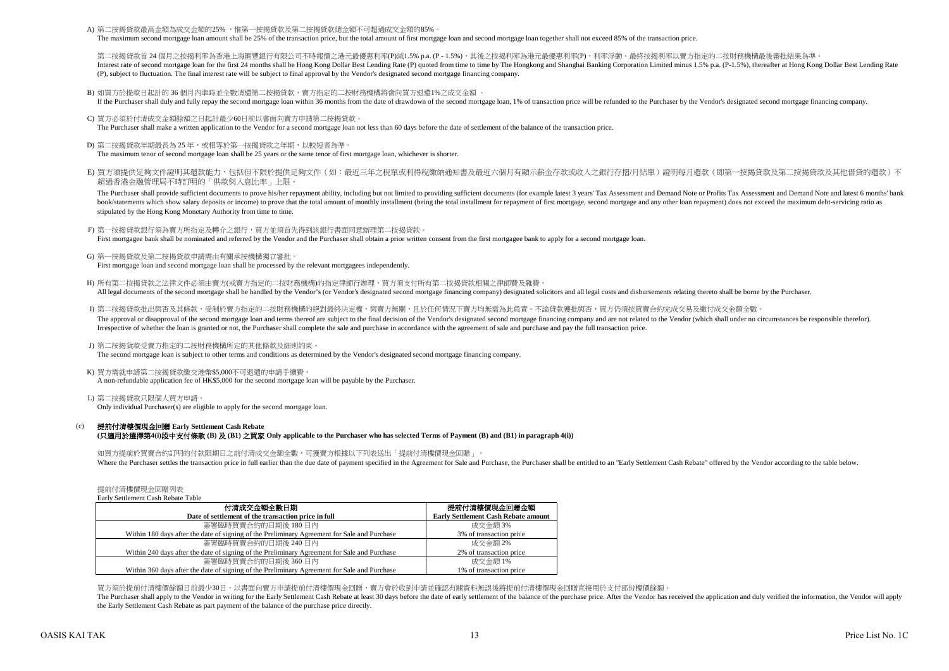A) 第二按揭貸款最高金額為成交金額的25% ,惟第一按揭貸款及第二按揭貸款總金額不可超過成交金額的85%

The maximum second mortgage loan amount shall be 25% of the transaction price, but the total amount of first mortgage loan and second mortgage loan together shall not exceed 85% of the transaction price.

第二按揭管款首 24 個月之按揭利率為香港上海匯豐銀行有限公司不時報價之港元最優惠利率(P)減1.5% p.a. (P - 1.5%),其後之按揭利率為港元最優惠利率(P),利率浮動。最終按揭利率以賣方指定的二按財務機構最後審批結果為準 Interest rate of second morteage loan for the first 24 months shall be Hong Kong Dollar Best Lending Rate (P) quoted from time to time by The Hongkong and Shanghai Banking Corporation Limited minus 1.5% p.a. (P-1.5%), ther (P), subject to fluctuation. The final interest rate will be subject to final approval by the Vendor's designated second mortgage financing company.

B) 如買方於提款日起計的 36 個月內準時並全數清還第二按揭貸款,賣方指定的二按財務機構將會向買方退還1%之成交金額 。

If the Purchaser shall duly and fully repay the second mortgage loan within 36 months from the date of drawdown of the second mortgage loan, 1% of transaction price will be refunded to the Purchaser by the Vendor's designa

- C) 買方必須於付清成交金額餘額之日起計最少60日前以書面向賣方申請第二按揭貸款。 The Purchaser shall make a written application to the Vendor for a second mortgage loan not less than 60 days before the date of settlement of the balance of the transaction price.
- D) 第二按揭貸款年期最長為 25 年,或相等於第一按揭貸款之年期,以較短者為準。 The maximum tenor of second mortgage loan shall be 25 years or the same tenor of first mortgage loan, whichever is shorter.
- E) 買方須提供足夠文件證明其還款能力,包括但不限於提供足夠文件(如:最近三年之稅單或利得稅繳納通知書及最近六個月有顯示薪金存款或收入之銀行存摺/月結單)證明每月還款(即第一按揭貸款及第二按揭貸款及其他借貸的還款)不 超過香港金融管理局不時訂明的「供款與入息比率」上限。

The Purchaser shall provide sufficient documents to prove his/her repayment ability, including but not limited to providing sufficient documents (for example latest 3 years' Tax Assessment and Demand Note or Profits Tax As book/statements which show salary deposits or income) to prove that the total amount of monthly installment (being the total installment for repayment of first mortgage, second mortgage and any other loan repayment) does n stipulated by the Hong Kong Monetary Authority from time to time.

- F) 第一按揭貸款銀行須為賣方所指定及轉介之銀行,買方並須首先得到該銀行書面同意辦理第二按揭貸款。 First mortgagee bank shall be nominated and referred by the Vendor and the Purchaser shall obtain a prior written consent from the first mortgagee bank to apply for a second mortgage loan.
- G) 第一按揭貸款及第二按揭貸款申請需由有關承按機構獨立審批。 First mortgage loan and second mortgage loan shall be processed by the relevant mortgagees independently.
- H) 所有第二按揭貸款之法律文件必須由賣方(或賣方指定的二按財務機構)的指定律師行辦理,買方須支付所有第二按揭貸款相關之律師費及雜費。 All legal documents of the second mortgage shall be handled by the Vendor's (or Vendor's designated second mortgage financing company) designated solicitors and all legal costs and disbursements relating thereto shall be b
- I) 第二按揭貸款批出與否及其條款,受制於賣方指定的二按財務機構的絕對最終決定權,與賣方無關,且於任何情況下賣方均無需為此負責。不論貸款獲批與否,買方仍須按買賣合約完成交易及繳付成交金額全數。 The approval or disapproval of the second mortgage loan and terms thereof are subject to the final decision of the Vendor's designated second mortgage financing company and are not related to the Vendor (which shall under Irrespective of whether the loan is granted or not, the Purchaser shall complete the sale and purchase in accordance with the agreement of sale and purchase and pay the full transaction price.
- J) 第二按揭貨款受賣方指定的二按財務機構所定的其他條款及細則約束。

The second mortgage loan is subject to other terms and conditions as determined by the Vendor's designated second mortgage financing company.

#### K) 買方需就申請第二按揭貸款繳交港幣\$5,000不可退還的申請手續費。 A non-refundable application fee of HK\$5,000 for the second mortgage loan will be payable by the Purchaser.

L) 第二按揭貸款只限個人買方申請。 Only individual Purchaser(s) are eligible to apply for the second mortgage loan.

#### $(c)$ 提前付清樓價現金回贈 **Early Settlement Cash Rebate (**只適用於選擇第**4(i)**段中支付條款 **(B)** 及 **(B1)** 之買家 **Only applicable to the Purchaser who has selected Terms of Payment (B) and (B1) in paragraph 4(i))**

如買方提前於買賣合約訂明的付款限期日之前付清成交金額全數,可獲賣方根據以下列表送出「提前付清樓價現金回贈」。 Where the Purchaser settles the transaction price in full earlier than the due date of payment specified in the Agreement for Sale and Purchase, the Purchaser shall be entitled to an "Early Settlement Cash Rebate" offered

提前付清樓價現金回贈列表

| Early Settlement Cash Rebate Table                                                           |                                            |
|----------------------------------------------------------------------------------------------|--------------------------------------------|
| 付清成交金額全數日期                                                                                   | 提前付清樓價現金回贈金額                               |
| Date of settlement of the transaction price in full                                          | <b>Early Settlement Cash Rebate amount</b> |
| 簽署臨時買賣合約的日期後 180日內                                                                           | 成交金額 3%                                    |
| Within 180 days after the date of signing of the Preliminary Agreement for Sale and Purchase | 3% of transaction price                    |
| 簽署臨時買賣合約的日期後 240 日內                                                                          | 成交金額 2%                                    |
| Within 240 days after the date of signing of the Preliminary Agreement for Sale and Purchase | 2% of transaction price                    |
| 簽署臨時買賣合約的日期後 360日內                                                                           | 成交金額 1%                                    |
| Within 360 days after the date of signing of the Preliminary Agreement for Sale and Purchase | 1% of transaction price                    |

買方須於提前付清樓價餘額日前最少30日,以書面向賣方申請提前付清樓價現金回贈,賣方會於收到申請並確認有關資料無誤後將提前付清樓價現金回贈直接用於支付部份樓價餘額。

The Purchaser shall annly to the Vendor in writing for the Early Settlement Cash Rebate at least 30 days before the date of early settlement of the balance of the nurchase price. After the Vendor has received the applicati the Early Settlement Cash Rebate as part payment of the balance of the purchase price directly.